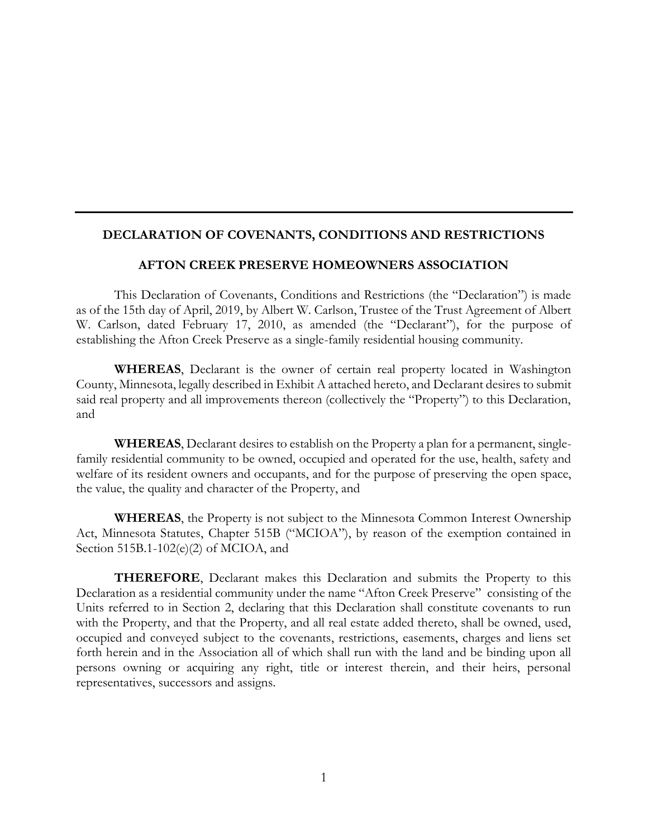#### **DECLARATION OF COVENANTS, CONDITIONS AND RESTRICTIONS**

#### **AFTON CREEK PRESERVE HOMEOWNERS ASSOCIATION**

This Declaration of Covenants, Conditions and Restrictions (the "Declaration") is made as of the 15th day of April, 2019, by Albert W. Carlson, Trustee of the Trust Agreement of Albert W. Carlson, dated February 17, 2010, as amended (the "Declarant"), for the purpose of establishing the Afton Creek Preserve as a single-family residential housing community.

**WHEREAS**, Declarant is the owner of certain real property located in Washington County, Minnesota, legally described in Exhibit A attached hereto, and Declarant desires to submit said real property and all improvements thereon (collectively the "Property") to this Declaration, and

**WHEREAS**, Declarant desires to establish on the Property a plan for a permanent, singlefamily residential community to be owned, occupied and operated for the use, health, safety and welfare of its resident owners and occupants, and for the purpose of preserving the open space, the value, the quality and character of the Property, and

**WHEREAS**, the Property is not subject to the Minnesota Common Interest Ownership Act, Minnesota Statutes, Chapter 515B ("MCIOA"), by reason of the exemption contained in Section 515B.1-102(e)(2) of MCIOA, and

**THEREFORE**, Declarant makes this Declaration and submits the Property to this Declaration as a residential community under the name "Afton Creek Preserve" consisting of the Units referred to in Section 2, declaring that this Declaration shall constitute covenants to run with the Property, and that the Property, and all real estate added thereto, shall be owned, used, occupied and conveyed subject to the covenants, restrictions, easements, charges and liens set forth herein and in the Association all of which shall run with the land and be binding upon all persons owning or acquiring any right, title or interest therein, and their heirs, personal representatives, successors and assigns.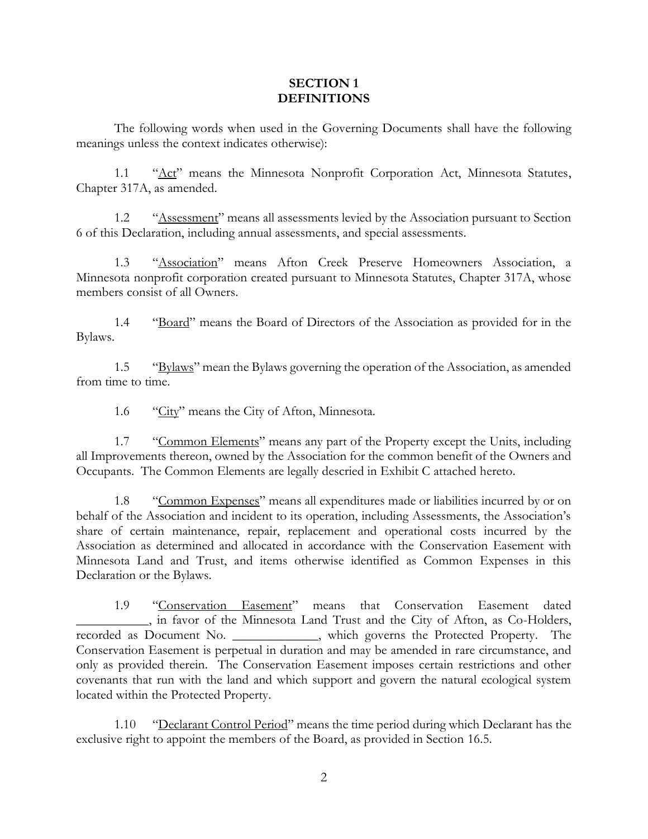#### **SECTION 1 DEFINITIONS**

The following words when used in the Governing Documents shall have the following meanings unless the context indicates otherwise):

1.1 "Act" means the Minnesota Nonprofit Corporation Act, Minnesota Statutes, Chapter 317A, as amended.

1.2 "Assessment" means all assessments levied by the Association pursuant to Section 6 of this Declaration, including annual assessments, and special assessments.

1.3 "Association" means Afton Creek Preserve Homeowners Association, a Minnesota nonprofit corporation created pursuant to Minnesota Statutes, Chapter 317A, whose members consist of all Owners.

1.4 "Board" means the Board of Directors of the Association as provided for in the Bylaws.

1.5 "Bylaws" mean the Bylaws governing the operation of the Association, as amended from time to time.

1.6 "City" means the City of Afton, Minnesota.

1.7 "Common Elements" means any part of the Property except the Units, including all Improvements thereon, owned by the Association for the common benefit of the Owners and Occupants. The Common Elements are legally descried in Exhibit C attached hereto.

1.8 "Common Expenses" means all expenditures made or liabilities incurred by or on behalf of the Association and incident to its operation, including Assessments, the Association's share of certain maintenance, repair, replacement and operational costs incurred by the Association as determined and allocated in accordance with the Conservation Easement with Minnesota Land and Trust, and items otherwise identified as Common Expenses in this Declaration or the Bylaws.

1.9 "Conservation Easement" means that Conservation Easement dated \_\_\_\_\_\_\_\_\_\_\_, in favor of the Minnesota Land Trust and the City of Afton, as Co-Holders, recorded as Document No. \_\_\_\_\_\_\_\_\_\_\_\_\_, which governs the Protected Property. The Conservation Easement is perpetual in duration and may be amended in rare circumstance, and only as provided therein. The Conservation Easement imposes certain restrictions and other covenants that run with the land and which support and govern the natural ecological system located within the Protected Property.

1.10 "Declarant Control Period" means the time period during which Declarant has the exclusive right to appoint the members of the Board, as provided in Section 16.5.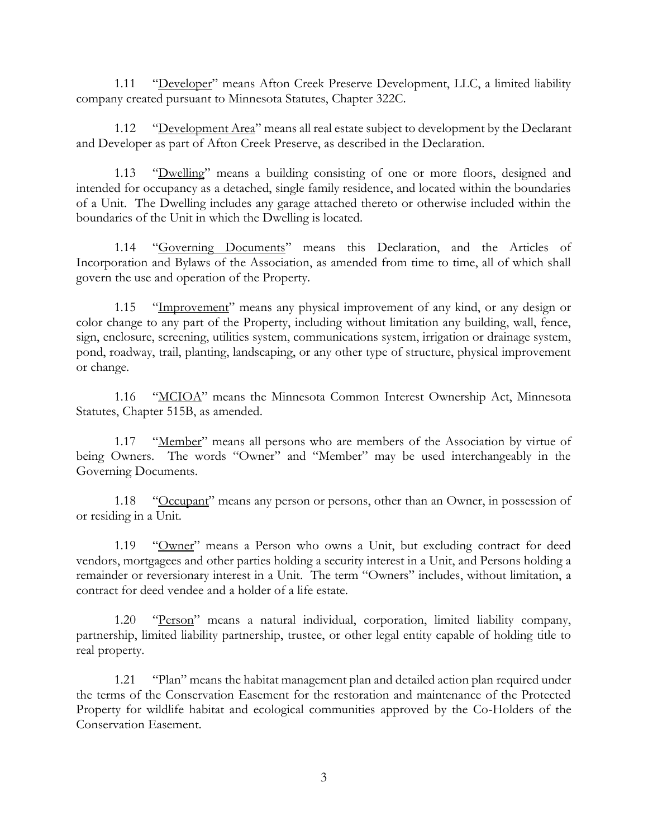1.11 "Developer" means Afton Creek Preserve Development, LLC, a limited liability company created pursuant to Minnesota Statutes, Chapter 322C.

1.12 "Development Area" means all real estate subject to development by the Declarant and Developer as part of Afton Creek Preserve, as described in the Declaration.

1.13 "Dwelling" means a building consisting of one or more floors, designed and intended for occupancy as a detached, single family residence, and located within the boundaries of a Unit. The Dwelling includes any garage attached thereto or otherwise included within the boundaries of the Unit in which the Dwelling is located.

1.14 "Governing Documents" means this Declaration, and the Articles of Incorporation and Bylaws of the Association, as amended from time to time, all of which shall govern the use and operation of the Property.

1.15 "Improvement" means any physical improvement of any kind, or any design or color change to any part of the Property, including without limitation any building, wall, fence, sign, enclosure, screening, utilities system, communications system, irrigation or drainage system, pond, roadway, trail, planting, landscaping, or any other type of structure, physical improvement or change.

1.16 "MCIOA" means the Minnesota Common Interest Ownership Act, Minnesota Statutes, Chapter 515B, as amended.

1.17 "Member" means all persons who are members of the Association by virtue of being Owners. The words "Owner" and "Member" may be used interchangeably in the Governing Documents.

1.18 "Occupant" means any person or persons, other than an Owner, in possession of or residing in a Unit.

1.19 "Owner" means a Person who owns a Unit, but excluding contract for deed vendors, mortgagees and other parties holding a security interest in a Unit, and Persons holding a remainder or reversionary interest in a Unit. The term "Owners" includes, without limitation, a contract for deed vendee and a holder of a life estate.

1.20 "Person" means a natural individual, corporation, limited liability company, partnership, limited liability partnership, trustee, or other legal entity capable of holding title to real property.

1.21 "Plan" means the habitat management plan and detailed action plan required under the terms of the Conservation Easement for the restoration and maintenance of the Protected Property for wildlife habitat and ecological communities approved by the Co-Holders of the Conservation Easement.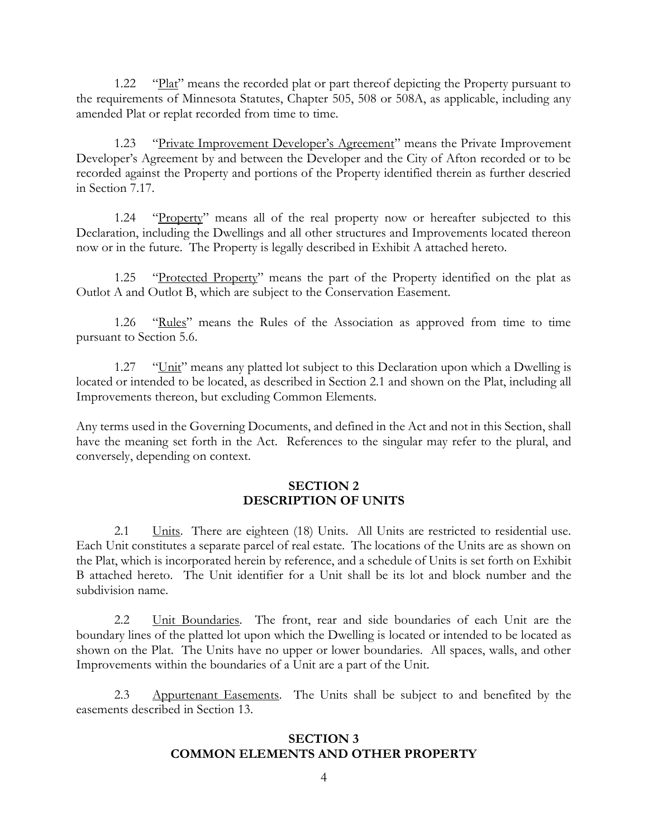1.22 "Plat" means the recorded plat or part thereof depicting the Property pursuant to the requirements of Minnesota Statutes, Chapter 505, 508 or 508A, as applicable, including any amended Plat or replat recorded from time to time.

1.23 "Private Improvement Developer's Agreement" means the Private Improvement Developer's Agreement by and between the Developer and the City of Afton recorded or to be recorded against the Property and portions of the Property identified therein as further descried in Section 7.17.

1.24 "Property" means all of the real property now or hereafter subjected to this Declaration, including the Dwellings and all other structures and Improvements located thereon now or in the future. The Property is legally described in Exhibit A attached hereto.

1.25 "Protected Property" means the part of the Property identified on the plat as Outlot A and Outlot B, which are subject to the Conservation Easement.

1.26 "Rules" means the Rules of the Association as approved from time to time pursuant to Section 5.6.

1.27 "Unit" means any platted lot subject to this Declaration upon which a Dwelling is located or intended to be located, as described in Section 2.1 and shown on the Plat, including all Improvements thereon, but excluding Common Elements.

Any terms used in the Governing Documents, and defined in the Act and not in this Section, shall have the meaning set forth in the Act. References to the singular may refer to the plural, and conversely, depending on context.

#### **SECTION 2 DESCRIPTION OF UNITS**

2.1 Units. There are eighteen (18) Units. All Units are restricted to residential use. Each Unit constitutes a separate parcel of real estate. The locations of the Units are as shown on the Plat, which is incorporated herein by reference, and a schedule of Units is set forth on Exhibit B attached hereto. The Unit identifier for a Unit shall be its lot and block number and the subdivision name.

2.2 Unit Boundaries. The front, rear and side boundaries of each Unit are the boundary lines of the platted lot upon which the Dwelling is located or intended to be located as shown on the Plat. The Units have no upper or lower boundaries. All spaces, walls, and other Improvements within the boundaries of a Unit are a part of the Unit.

2.3 Appurtenant Easements. The Units shall be subject to and benefited by the easements described in Section 13.

#### **SECTION 3 COMMON ELEMENTS AND OTHER PROPERTY**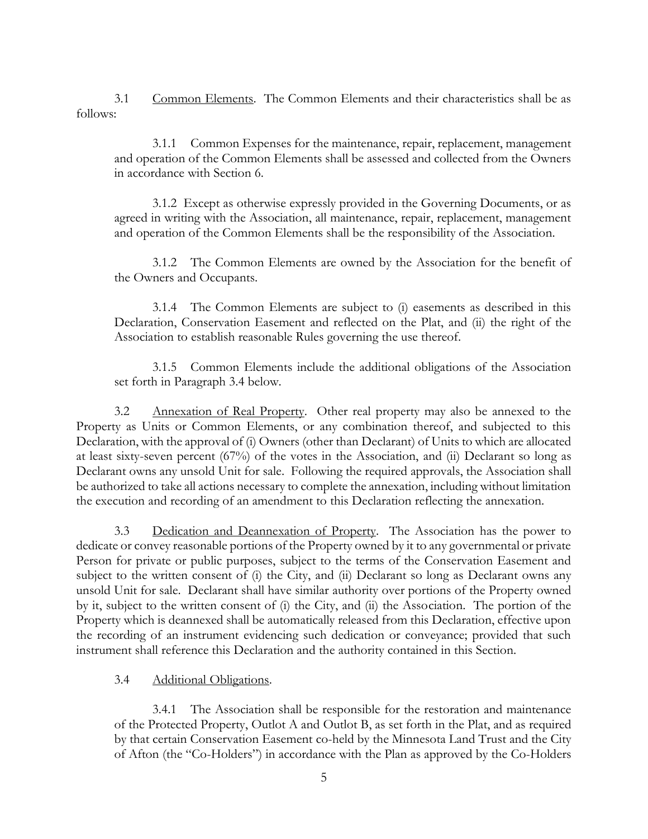3.1 Common Elements. The Common Elements and their characteristics shall be as follows:

3.1.1 Common Expenses for the maintenance, repair, replacement, management and operation of the Common Elements shall be assessed and collected from the Owners in accordance with Section 6.

3.1.2 Except as otherwise expressly provided in the Governing Documents, or as agreed in writing with the Association, all maintenance, repair, replacement, management and operation of the Common Elements shall be the responsibility of the Association.

3.1.2 The Common Elements are owned by the Association for the benefit of the Owners and Occupants.

3.1.4 The Common Elements are subject to (i) easements as described in this Declaration, Conservation Easement and reflected on the Plat, and (ii) the right of the Association to establish reasonable Rules governing the use thereof.

3.1.5 Common Elements include the additional obligations of the Association set forth in Paragraph 3.4 below.

3.2 Annexation of Real Property. Other real property may also be annexed to the Property as Units or Common Elements, or any combination thereof, and subjected to this Declaration, with the approval of (i) Owners (other than Declarant) of Units to which are allocated at least sixty-seven percent (67%) of the votes in the Association, and (ii) Declarant so long as Declarant owns any unsold Unit for sale. Following the required approvals, the Association shall be authorized to take all actions necessary to complete the annexation, including without limitation the execution and recording of an amendment to this Declaration reflecting the annexation.

3.3 Dedication and Deannexation of Property. The Association has the power to dedicate or convey reasonable portions of the Property owned by it to any governmental or private Person for private or public purposes, subject to the terms of the Conservation Easement and subject to the written consent of (i) the City, and (ii) Declarant so long as Declarant owns any unsold Unit for sale. Declarant shall have similar authority over portions of the Property owned by it, subject to the written consent of (i) the City, and (ii) the Association. The portion of the Property which is deannexed shall be automatically released from this Declaration, effective upon the recording of an instrument evidencing such dedication or conveyance; provided that such instrument shall reference this Declaration and the authority contained in this Section.

3.4 Additional Obligations.

3.4.1 The Association shall be responsible for the restoration and maintenance of the Protected Property, Outlot A and Outlot B, as set forth in the Plat, and as required by that certain Conservation Easement co-held by the Minnesota Land Trust and the City of Afton (the "Co-Holders") in accordance with the Plan as approved by the Co-Holders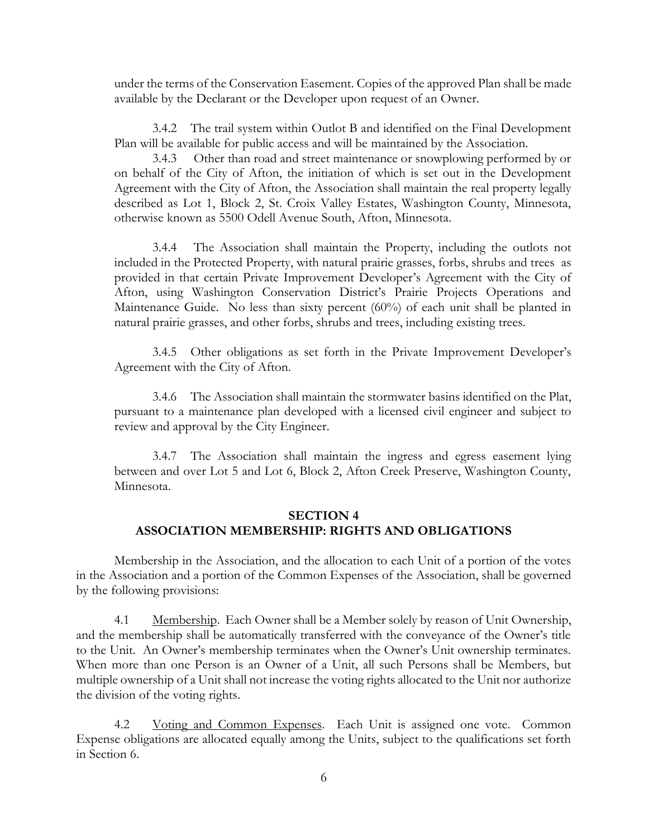under the terms of the Conservation Easement. Copies of the approved Plan shall be made available by the Declarant or the Developer upon request of an Owner.

3.4.2 The trail system within Outlot B and identified on the Final Development Plan will be available for public access and will be maintained by the Association.

3.4.3 Other than road and street maintenance or snowplowing performed by or on behalf of the City of Afton, the initiation of which is set out in the Development Agreement with the City of Afton, the Association shall maintain the real property legally described as Lot 1, Block 2, St. Croix Valley Estates, Washington County, Minnesota, otherwise known as 5500 Odell Avenue South, Afton, Minnesota.

3.4.4 The Association shall maintain the Property, including the outlots not included in the Protected Property, with natural prairie grasses, forbs, shrubs and trees as provided in that certain Private Improvement Developer's Agreement with the City of Afton, using Washington Conservation District's Prairie Projects Operations and Maintenance Guide. No less than sixty percent (60%) of each unit shall be planted in natural prairie grasses, and other forbs, shrubs and trees, including existing trees.

3.4.5 Other obligations as set forth in the Private Improvement Developer's Agreement with the City of Afton.

3.4.6 The Association shall maintain the stormwater basins identified on the Plat, pursuant to a maintenance plan developed with a licensed civil engineer and subject to review and approval by the City Engineer.

3.4.7 The Association shall maintain the ingress and egress easement lying between and over Lot 5 and Lot 6, Block 2, Afton Creek Preserve, Washington County, Minnesota.

# **SECTION 4 ASSOCIATION MEMBERSHIP: RIGHTS AND OBLIGATIONS**

Membership in the Association, and the allocation to each Unit of a portion of the votes in the Association and a portion of the Common Expenses of the Association, shall be governed by the following provisions:

4.1 Membership. Each Owner shall be a Member solely by reason of Unit Ownership, and the membership shall be automatically transferred with the conveyance of the Owner's title to the Unit. An Owner's membership terminates when the Owner's Unit ownership terminates. When more than one Person is an Owner of a Unit, all such Persons shall be Members, but multiple ownership of a Unit shall not increase the voting rights allocated to the Unit nor authorize the division of the voting rights.

4.2 Voting and Common Expenses. Each Unit is assigned one vote. Common Expense obligations are allocated equally among the Units, subject to the qualifications set forth in Section 6.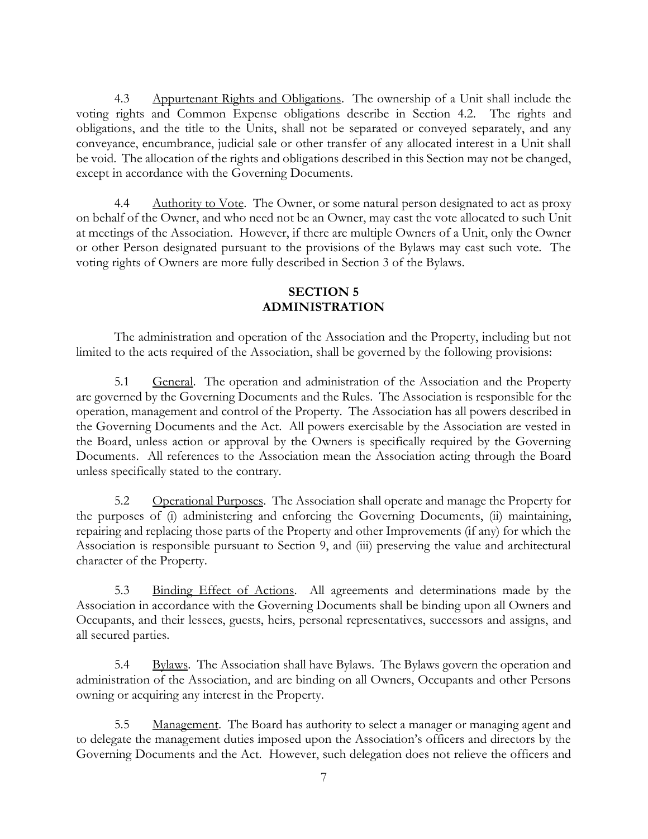4.3 Appurtenant Rights and Obligations. The ownership of a Unit shall include the voting rights and Common Expense obligations describe in Section 4.2. The rights and obligations, and the title to the Units, shall not be separated or conveyed separately, and any conveyance, encumbrance, judicial sale or other transfer of any allocated interest in a Unit shall be void. The allocation of the rights and obligations described in this Section may not be changed, except in accordance with the Governing Documents.

4.4 Authority to Vote. The Owner, or some natural person designated to act as proxy on behalf of the Owner, and who need not be an Owner, may cast the vote allocated to such Unit at meetings of the Association. However, if there are multiple Owners of a Unit, only the Owner or other Person designated pursuant to the provisions of the Bylaws may cast such vote. The voting rights of Owners are more fully described in Section 3 of the Bylaws.

# **SECTION 5 ADMINISTRATION**

The administration and operation of the Association and the Property, including but not limited to the acts required of the Association, shall be governed by the following provisions:

5.1 General. The operation and administration of the Association and the Property are governed by the Governing Documents and the Rules. The Association is responsible for the operation, management and control of the Property. The Association has all powers described in the Governing Documents and the Act. All powers exercisable by the Association are vested in the Board, unless action or approval by the Owners is specifically required by the Governing Documents. All references to the Association mean the Association acting through the Board unless specifically stated to the contrary.

5.2 Operational Purposes. The Association shall operate and manage the Property for the purposes of (i) administering and enforcing the Governing Documents, (ii) maintaining, repairing and replacing those parts of the Property and other Improvements (if any) for which the Association is responsible pursuant to Section 9, and (iii) preserving the value and architectural character of the Property.

5.3 Binding Effect of Actions. All agreements and determinations made by the Association in accordance with the Governing Documents shall be binding upon all Owners and Occupants, and their lessees, guests, heirs, personal representatives, successors and assigns, and all secured parties.

5.4 Bylaws. The Association shall have Bylaws. The Bylaws govern the operation and administration of the Association, and are binding on all Owners, Occupants and other Persons owning or acquiring any interest in the Property.

5.5 Management. The Board has authority to select a manager or managing agent and to delegate the management duties imposed upon the Association's officers and directors by the Governing Documents and the Act. However, such delegation does not relieve the officers and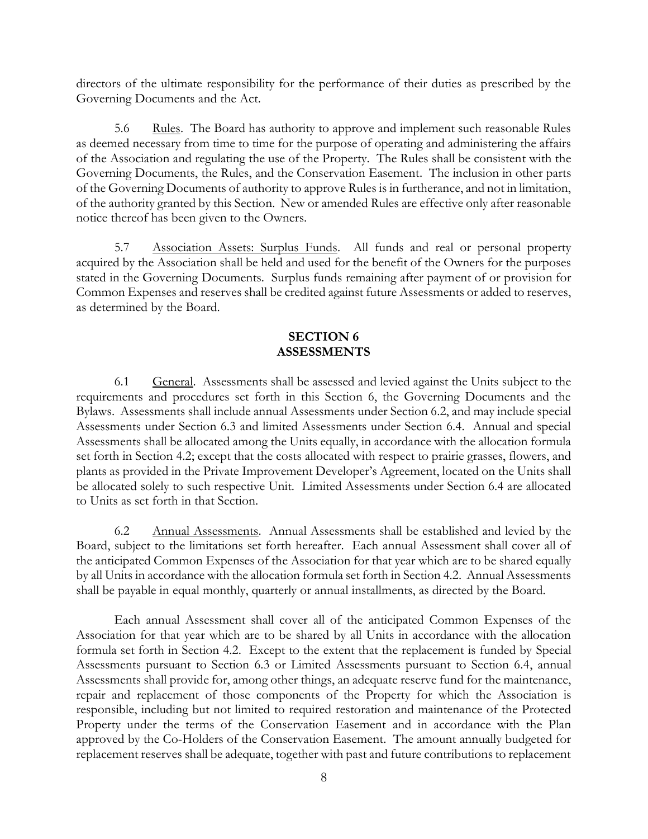directors of the ultimate responsibility for the performance of their duties as prescribed by the Governing Documents and the Act.

5.6 Rules. The Board has authority to approve and implement such reasonable Rules as deemed necessary from time to time for the purpose of operating and administering the affairs of the Association and regulating the use of the Property. The Rules shall be consistent with the Governing Documents, the Rules, and the Conservation Easement. The inclusion in other parts of the Governing Documents of authority to approve Rules is in furtherance, and not in limitation, of the authority granted by this Section. New or amended Rules are effective only after reasonable notice thereof has been given to the Owners.

5.7 Association Assets: Surplus Funds. All funds and real or personal property acquired by the Association shall be held and used for the benefit of the Owners for the purposes stated in the Governing Documents. Surplus funds remaining after payment of or provision for Common Expenses and reserves shall be credited against future Assessments or added to reserves, as determined by the Board.

### **SECTION 6 ASSESSMENTS**

6.1 General. Assessments shall be assessed and levied against the Units subject to the requirements and procedures set forth in this Section 6, the Governing Documents and the Bylaws. Assessments shall include annual Assessments under Section 6.2, and may include special Assessments under Section 6.3 and limited Assessments under Section 6.4. Annual and special Assessments shall be allocated among the Units equally, in accordance with the allocation formula set forth in Section 4.2; except that the costs allocated with respect to prairie grasses, flowers, and plants as provided in the Private Improvement Developer's Agreement, located on the Units shall be allocated solely to such respective Unit. Limited Assessments under Section 6.4 are allocated to Units as set forth in that Section.

6.2 Annual Assessments. Annual Assessments shall be established and levied by the Board, subject to the limitations set forth hereafter. Each annual Assessment shall cover all of the anticipated Common Expenses of the Association for that year which are to be shared equally by all Units in accordance with the allocation formula set forth in Section 4.2. Annual Assessments shall be payable in equal monthly, quarterly or annual installments, as directed by the Board.

Each annual Assessment shall cover all of the anticipated Common Expenses of the Association for that year which are to be shared by all Units in accordance with the allocation formula set forth in Section 4.2. Except to the extent that the replacement is funded by Special Assessments pursuant to Section 6.3 or Limited Assessments pursuant to Section 6.4, annual Assessments shall provide for, among other things, an adequate reserve fund for the maintenance, repair and replacement of those components of the Property for which the Association is responsible, including but not limited to required restoration and maintenance of the Protected Property under the terms of the Conservation Easement and in accordance with the Plan approved by the Co-Holders of the Conservation Easement. The amount annually budgeted for replacement reserves shall be adequate, together with past and future contributions to replacement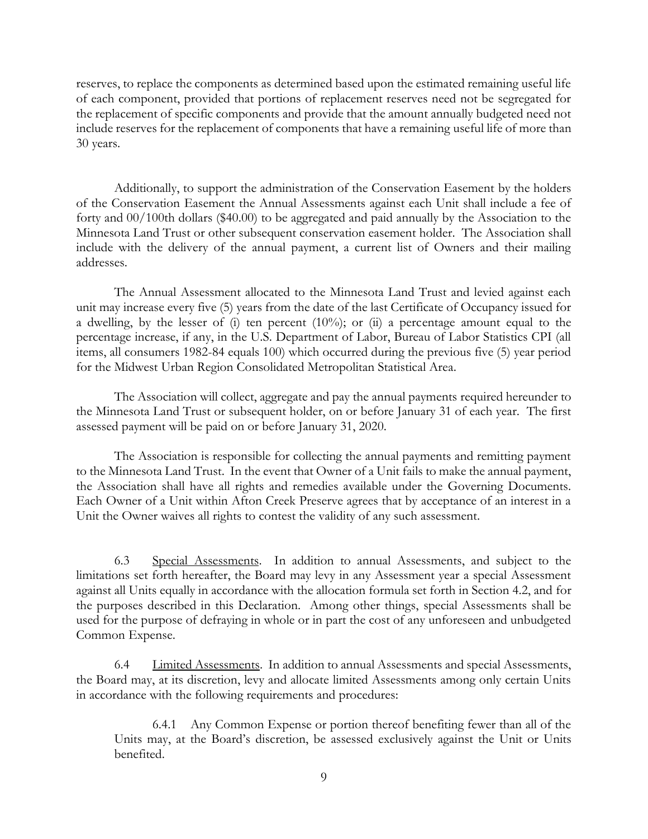reserves, to replace the components as determined based upon the estimated remaining useful life of each component, provided that portions of replacement reserves need not be segregated for the replacement of specific components and provide that the amount annually budgeted need not include reserves for the replacement of components that have a remaining useful life of more than 30 years.

Additionally, to support the administration of the Conservation Easement by the holders of the Conservation Easement the Annual Assessments against each Unit shall include a fee of forty and 00/100th dollars (\$40.00) to be aggregated and paid annually by the Association to the Minnesota Land Trust or other subsequent conservation easement holder. The Association shall include with the delivery of the annual payment, a current list of Owners and their mailing addresses.

The Annual Assessment allocated to the Minnesota Land Trust and levied against each unit may increase every five (5) years from the date of the last Certificate of Occupancy issued for a dwelling, by the lesser of (i) ten percent  $(10\%)$ ; or (ii) a percentage amount equal to the percentage increase, if any, in the U.S. Department of Labor, Bureau of Labor Statistics CPI (all items, all consumers 1982-84 equals 100) which occurred during the previous five (5) year period for the Midwest Urban Region Consolidated Metropolitan Statistical Area.

The Association will collect, aggregate and pay the annual payments required hereunder to the Minnesota Land Trust or subsequent holder, on or before January 31 of each year. The first assessed payment will be paid on or before January 31, 2020.

The Association is responsible for collecting the annual payments and remitting payment to the Minnesota Land Trust. In the event that Owner of a Unit fails to make the annual payment, the Association shall have all rights and remedies available under the Governing Documents. Each Owner of a Unit within Afton Creek Preserve agrees that by acceptance of an interest in a Unit the Owner waives all rights to contest the validity of any such assessment.

6.3 Special Assessments. In addition to annual Assessments, and subject to the limitations set forth hereafter, the Board may levy in any Assessment year a special Assessment against all Units equally in accordance with the allocation formula set forth in Section 4.2, and for the purposes described in this Declaration. Among other things, special Assessments shall be used for the purpose of defraying in whole or in part the cost of any unforeseen and unbudgeted Common Expense.

6.4 Limited Assessments. In addition to annual Assessments and special Assessments, the Board may, at its discretion, levy and allocate limited Assessments among only certain Units in accordance with the following requirements and procedures:

6.4.1 Any Common Expense or portion thereof benefiting fewer than all of the Units may, at the Board's discretion, be assessed exclusively against the Unit or Units benefited.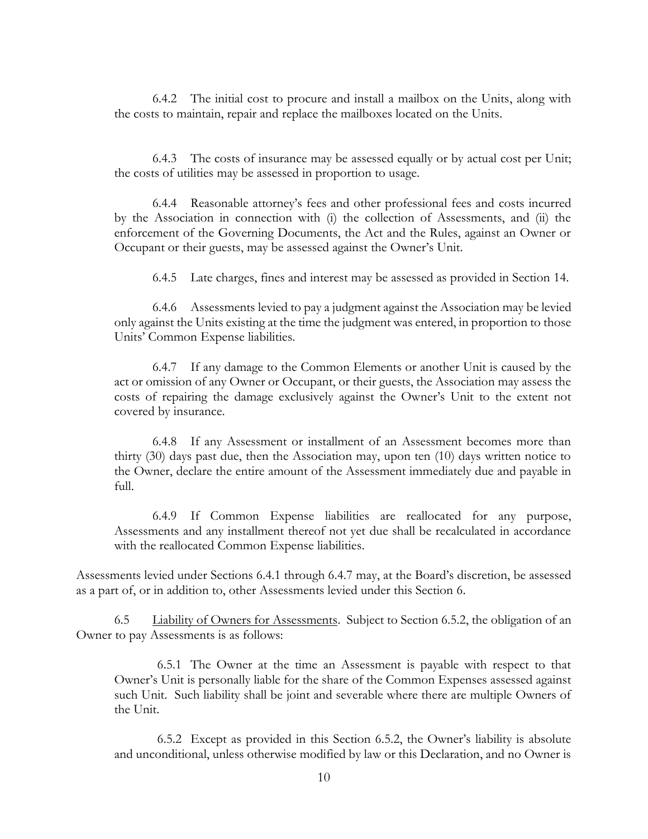6.4.2 The initial cost to procure and install a mailbox on the Units, along with the costs to maintain, repair and replace the mailboxes located on the Units.

6.4.3 The costs of insurance may be assessed equally or by actual cost per Unit; the costs of utilities may be assessed in proportion to usage.

6.4.4 Reasonable attorney's fees and other professional fees and costs incurred by the Association in connection with (i) the collection of Assessments, and (ii) the enforcement of the Governing Documents, the Act and the Rules, against an Owner or Occupant or their guests, may be assessed against the Owner's Unit.

6.4.5 Late charges, fines and interest may be assessed as provided in Section 14.

6.4.6 Assessments levied to pay a judgment against the Association may be levied only against the Units existing at the time the judgment was entered, in proportion to those Units' Common Expense liabilities.

6.4.7 If any damage to the Common Elements or another Unit is caused by the act or omission of any Owner or Occupant, or their guests, the Association may assess the costs of repairing the damage exclusively against the Owner's Unit to the extent not covered by insurance.

6.4.8 If any Assessment or installment of an Assessment becomes more than thirty (30) days past due, then the Association may, upon ten (10) days written notice to the Owner, declare the entire amount of the Assessment immediately due and payable in full.

6.4.9 If Common Expense liabilities are reallocated for any purpose, Assessments and any installment thereof not yet due shall be recalculated in accordance with the reallocated Common Expense liabilities.

Assessments levied under Sections 6.4.1 through 6.4.7 may, at the Board's discretion, be assessed as a part of, or in addition to, other Assessments levied under this Section 6.

6.5 Liability of Owners for Assessments. Subject to Section 6.5.2, the obligation of an Owner to pay Assessments is as follows:

6.5.1 The Owner at the time an Assessment is payable with respect to that Owner's Unit is personally liable for the share of the Common Expenses assessed against such Unit. Such liability shall be joint and severable where there are multiple Owners of the Unit.

6.5.2 Except as provided in this Section 6.5.2, the Owner's liability is absolute and unconditional, unless otherwise modified by law or this Declaration, and no Owner is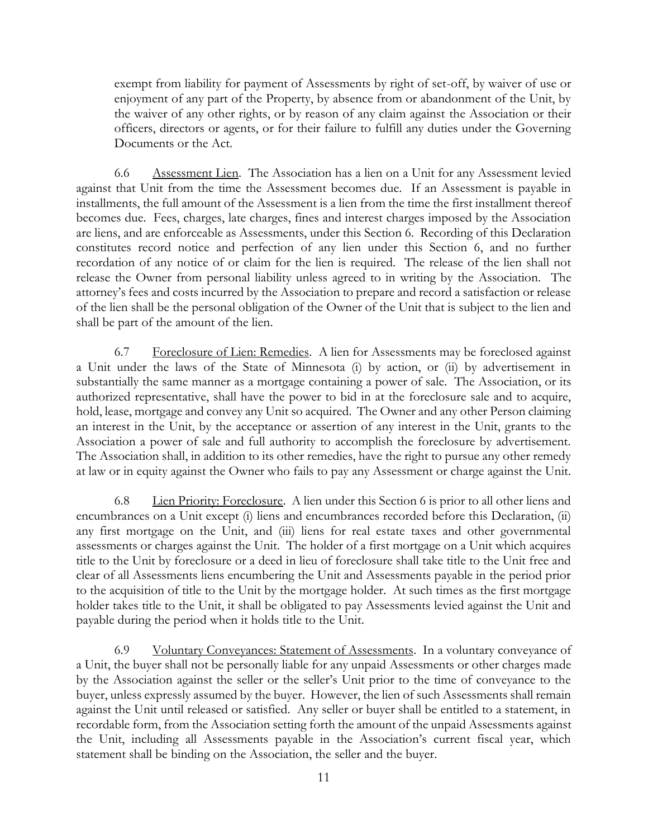exempt from liability for payment of Assessments by right of set-off, by waiver of use or enjoyment of any part of the Property, by absence from or abandonment of the Unit, by the waiver of any other rights, or by reason of any claim against the Association or their officers, directors or agents, or for their failure to fulfill any duties under the Governing Documents or the Act.

6.6 Assessment Lien. The Association has a lien on a Unit for any Assessment levied against that Unit from the time the Assessment becomes due. If an Assessment is payable in installments, the full amount of the Assessment is a lien from the time the first installment thereof becomes due. Fees, charges, late charges, fines and interest charges imposed by the Association are liens, and are enforceable as Assessments, under this Section 6. Recording of this Declaration constitutes record notice and perfection of any lien under this Section 6, and no further recordation of any notice of or claim for the lien is required. The release of the lien shall not release the Owner from personal liability unless agreed to in writing by the Association. The attorney's fees and costs incurred by the Association to prepare and record a satisfaction or release of the lien shall be the personal obligation of the Owner of the Unit that is subject to the lien and shall be part of the amount of the lien.

6.7 Foreclosure of Lien: Remedies. A lien for Assessments may be foreclosed against a Unit under the laws of the State of Minnesota (i) by action, or (ii) by advertisement in substantially the same manner as a mortgage containing a power of sale. The Association, or its authorized representative, shall have the power to bid in at the foreclosure sale and to acquire, hold, lease, mortgage and convey any Unit so acquired. The Owner and any other Person claiming an interest in the Unit, by the acceptance or assertion of any interest in the Unit, grants to the Association a power of sale and full authority to accomplish the foreclosure by advertisement. The Association shall, in addition to its other remedies, have the right to pursue any other remedy at law or in equity against the Owner who fails to pay any Assessment or charge against the Unit.

6.8 Lien Priority: Foreclosure. A lien under this Section 6 is prior to all other liens and encumbrances on a Unit except (i) liens and encumbrances recorded before this Declaration, (ii) any first mortgage on the Unit, and (iii) liens for real estate taxes and other governmental assessments or charges against the Unit. The holder of a first mortgage on a Unit which acquires title to the Unit by foreclosure or a deed in lieu of foreclosure shall take title to the Unit free and clear of all Assessments liens encumbering the Unit and Assessments payable in the period prior to the acquisition of title to the Unit by the mortgage holder. At such times as the first mortgage holder takes title to the Unit, it shall be obligated to pay Assessments levied against the Unit and payable during the period when it holds title to the Unit.

6.9 Voluntary Conveyances: Statement of Assessments. In a voluntary conveyance of a Unit, the buyer shall not be personally liable for any unpaid Assessments or other charges made by the Association against the seller or the seller's Unit prior to the time of conveyance to the buyer, unless expressly assumed by the buyer. However, the lien of such Assessments shall remain against the Unit until released or satisfied. Any seller or buyer shall be entitled to a statement, in recordable form, from the Association setting forth the amount of the unpaid Assessments against the Unit, including all Assessments payable in the Association's current fiscal year, which statement shall be binding on the Association, the seller and the buyer.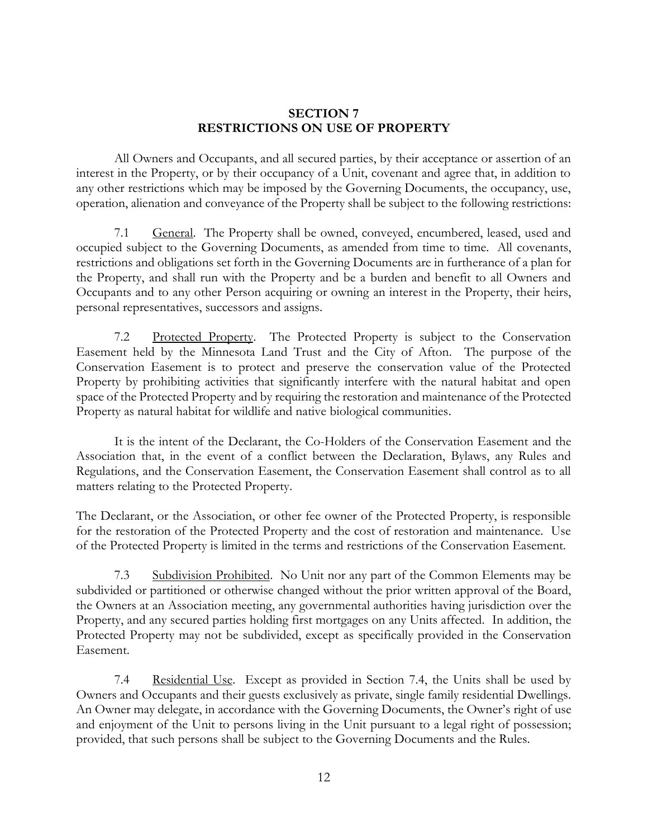#### **SECTION 7 RESTRICTIONS ON USE OF PROPERTY**

All Owners and Occupants, and all secured parties, by their acceptance or assertion of an interest in the Property, or by their occupancy of a Unit, covenant and agree that, in addition to any other restrictions which may be imposed by the Governing Documents, the occupancy, use, operation, alienation and conveyance of the Property shall be subject to the following restrictions:

7.1 General. The Property shall be owned, conveyed, encumbered, leased, used and occupied subject to the Governing Documents, as amended from time to time. All covenants, restrictions and obligations set forth in the Governing Documents are in furtherance of a plan for the Property, and shall run with the Property and be a burden and benefit to all Owners and Occupants and to any other Person acquiring or owning an interest in the Property, their heirs, personal representatives, successors and assigns.

7.2 Protected Property. The Protected Property is subject to the Conservation Easement held by the Minnesota Land Trust and the City of Afton. The purpose of the Conservation Easement is to protect and preserve the conservation value of the Protected Property by prohibiting activities that significantly interfere with the natural habitat and open space of the Protected Property and by requiring the restoration and maintenance of the Protected Property as natural habitat for wildlife and native biological communities.

It is the intent of the Declarant, the Co-Holders of the Conservation Easement and the Association that, in the event of a conflict between the Declaration, Bylaws, any Rules and Regulations, and the Conservation Easement, the Conservation Easement shall control as to all matters relating to the Protected Property.

The Declarant, or the Association, or other fee owner of the Protected Property, is responsible for the restoration of the Protected Property and the cost of restoration and maintenance. Use of the Protected Property is limited in the terms and restrictions of the Conservation Easement.

7.3 Subdivision Prohibited. No Unit nor any part of the Common Elements may be subdivided or partitioned or otherwise changed without the prior written approval of the Board, the Owners at an Association meeting, any governmental authorities having jurisdiction over the Property, and any secured parties holding first mortgages on any Units affected. In addition, the Protected Property may not be subdivided, except as specifically provided in the Conservation Easement.

7.4 Residential Use. Except as provided in Section 7.4, the Units shall be used by Owners and Occupants and their guests exclusively as private, single family residential Dwellings. An Owner may delegate, in accordance with the Governing Documents, the Owner's right of use and enjoyment of the Unit to persons living in the Unit pursuant to a legal right of possession; provided, that such persons shall be subject to the Governing Documents and the Rules.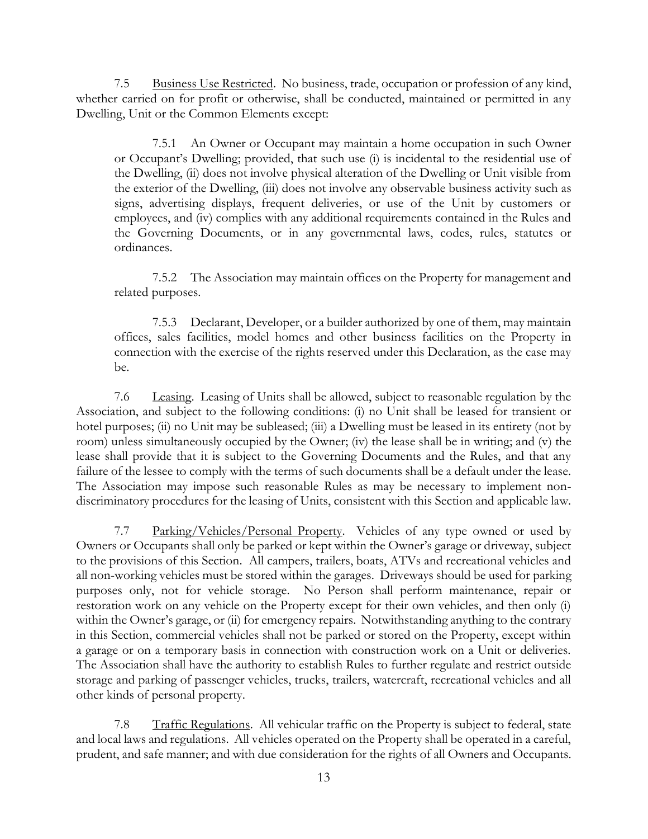7.5 Business Use Restricted. No business, trade, occupation or profession of any kind, whether carried on for profit or otherwise, shall be conducted, maintained or permitted in any Dwelling, Unit or the Common Elements except:

7.5.1 An Owner or Occupant may maintain a home occupation in such Owner or Occupant's Dwelling; provided, that such use (i) is incidental to the residential use of the Dwelling, (ii) does not involve physical alteration of the Dwelling or Unit visible from the exterior of the Dwelling, (iii) does not involve any observable business activity such as signs, advertising displays, frequent deliveries, or use of the Unit by customers or employees, and (iv) complies with any additional requirements contained in the Rules and the Governing Documents, or in any governmental laws, codes, rules, statutes or ordinances.

7.5.2 The Association may maintain offices on the Property for management and related purposes.

7.5.3 Declarant, Developer, or a builder authorized by one of them, may maintain offices, sales facilities, model homes and other business facilities on the Property in connection with the exercise of the rights reserved under this Declaration, as the case may be.

7.6 Leasing. Leasing of Units shall be allowed, subject to reasonable regulation by the Association, and subject to the following conditions: (i) no Unit shall be leased for transient or hotel purposes; (ii) no Unit may be subleased; (iii) a Dwelling must be leased in its entirety (not by room) unless simultaneously occupied by the Owner; (iv) the lease shall be in writing; and (v) the lease shall provide that it is subject to the Governing Documents and the Rules, and that any failure of the lessee to comply with the terms of such documents shall be a default under the lease. The Association may impose such reasonable Rules as may be necessary to implement nondiscriminatory procedures for the leasing of Units, consistent with this Section and applicable law.

7.7 Parking/Vehicles/Personal Property. Vehicles of any type owned or used by Owners or Occupants shall only be parked or kept within the Owner's garage or driveway, subject to the provisions of this Section. All campers, trailers, boats, ATVs and recreational vehicles and all non-working vehicles must be stored within the garages. Driveways should be used for parking purposes only, not for vehicle storage. No Person shall perform maintenance, repair or restoration work on any vehicle on the Property except for their own vehicles, and then only (i) within the Owner's garage, or (ii) for emergency repairs. Notwithstanding anything to the contrary in this Section, commercial vehicles shall not be parked or stored on the Property, except within a garage or on a temporary basis in connection with construction work on a Unit or deliveries. The Association shall have the authority to establish Rules to further regulate and restrict outside storage and parking of passenger vehicles, trucks, trailers, watercraft, recreational vehicles and all other kinds of personal property.

7.8 Traffic Regulations. All vehicular traffic on the Property is subject to federal, state and local laws and regulations. All vehicles operated on the Property shall be operated in a careful, prudent, and safe manner; and with due consideration for the rights of all Owners and Occupants.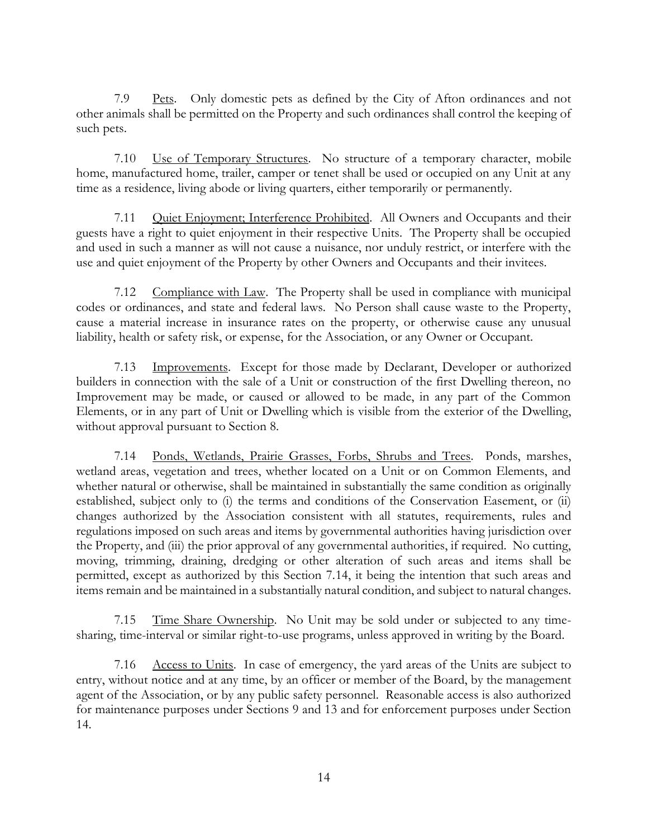7.9 Pets. Only domestic pets as defined by the City of Afton ordinances and not other animals shall be permitted on the Property and such ordinances shall control the keeping of such pets.

7.10 Use of Temporary Structures. No structure of a temporary character, mobile home, manufactured home, trailer, camper or tenet shall be used or occupied on any Unit at any time as a residence, living abode or living quarters, either temporarily or permanently.

7.11 Quiet Enjoyment; Interference Prohibited. All Owners and Occupants and their guests have a right to quiet enjoyment in their respective Units. The Property shall be occupied and used in such a manner as will not cause a nuisance, nor unduly restrict, or interfere with the use and quiet enjoyment of the Property by other Owners and Occupants and their invitees.

7.12 Compliance with Law. The Property shall be used in compliance with municipal codes or ordinances, and state and federal laws. No Person shall cause waste to the Property, cause a material increase in insurance rates on the property, or otherwise cause any unusual liability, health or safety risk, or expense, for the Association, or any Owner or Occupant.

7.13 Improvements. Except for those made by Declarant, Developer or authorized builders in connection with the sale of a Unit or construction of the first Dwelling thereon, no Improvement may be made, or caused or allowed to be made, in any part of the Common Elements, or in any part of Unit or Dwelling which is visible from the exterior of the Dwelling, without approval pursuant to Section 8.

7.14 Ponds, Wetlands, Prairie Grasses, Forbs, Shrubs and Trees. Ponds, marshes, wetland areas, vegetation and trees, whether located on a Unit or on Common Elements, and whether natural or otherwise, shall be maintained in substantially the same condition as originally established, subject only to (i) the terms and conditions of the Conservation Easement, or (ii) changes authorized by the Association consistent with all statutes, requirements, rules and regulations imposed on such areas and items by governmental authorities having jurisdiction over the Property, and (iii) the prior approval of any governmental authorities, if required. No cutting, moving, trimming, draining, dredging or other alteration of such areas and items shall be permitted, except as authorized by this Section 7.14, it being the intention that such areas and items remain and be maintained in a substantially natural condition, and subject to natural changes.

7.15 Time Share Ownership. No Unit may be sold under or subjected to any timesharing, time-interval or similar right-to-use programs, unless approved in writing by the Board.

7.16 Access to Units. In case of emergency, the yard areas of the Units are subject to entry, without notice and at any time, by an officer or member of the Board, by the management agent of the Association, or by any public safety personnel. Reasonable access is also authorized for maintenance purposes under Sections 9 and 13 and for enforcement purposes under Section 14.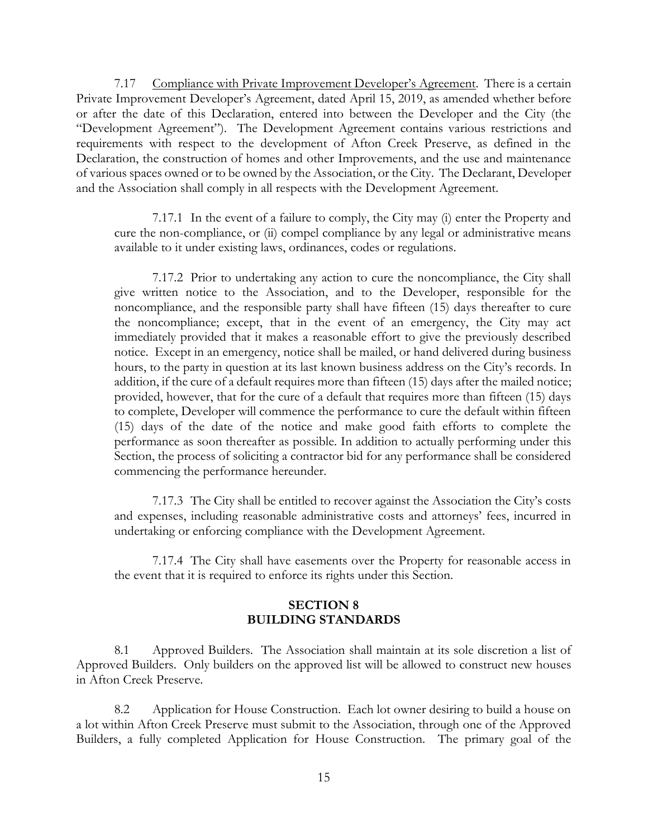7.17 Compliance with Private Improvement Developer's Agreement. There is a certain Private Improvement Developer's Agreement, dated April 15, 2019, as amended whether before or after the date of this Declaration, entered into between the Developer and the City (the "Development Agreement"). The Development Agreement contains various restrictions and requirements with respect to the development of Afton Creek Preserve, as defined in the Declaration, the construction of homes and other Improvements, and the use and maintenance of various spaces owned or to be owned by the Association, or the City. The Declarant, Developer and the Association shall comply in all respects with the Development Agreement.

7.17.1 In the event of a failure to comply, the City may (i) enter the Property and cure the non-compliance, or (ii) compel compliance by any legal or administrative means available to it under existing laws, ordinances, codes or regulations.

7.17.2 Prior to undertaking any action to cure the noncompliance, the City shall give written notice to the Association, and to the Developer, responsible for the noncompliance, and the responsible party shall have fifteen (15) days thereafter to cure the noncompliance; except, that in the event of an emergency, the City may act immediately provided that it makes a reasonable effort to give the previously described notice. Except in an emergency, notice shall be mailed, or hand delivered during business hours, to the party in question at its last known business address on the City's records. In addition, if the cure of a default requires more than fifteen (15) days after the mailed notice; provided, however, that for the cure of a default that requires more than fifteen (15) days to complete, Developer will commence the performance to cure the default within fifteen (15) days of the date of the notice and make good faith efforts to complete the performance as soon thereafter as possible. In addition to actually performing under this Section, the process of soliciting a contractor bid for any performance shall be considered commencing the performance hereunder.

7.17.3 The City shall be entitled to recover against the Association the City's costs and expenses, including reasonable administrative costs and attorneys' fees, incurred in undertaking or enforcing compliance with the Development Agreement.

7.17.4 The City shall have easements over the Property for reasonable access in the event that it is required to enforce its rights under this Section.

# **SECTION 8 BUILDING STANDARDS**

8.1 Approved Builders. The Association shall maintain at its sole discretion a list of Approved Builders. Only builders on the approved list will be allowed to construct new houses in Afton Creek Preserve.

8.2 Application for House Construction. Each lot owner desiring to build a house on a lot within Afton Creek Preserve must submit to the Association, through one of the Approved Builders, a fully completed Application for House Construction. The primary goal of the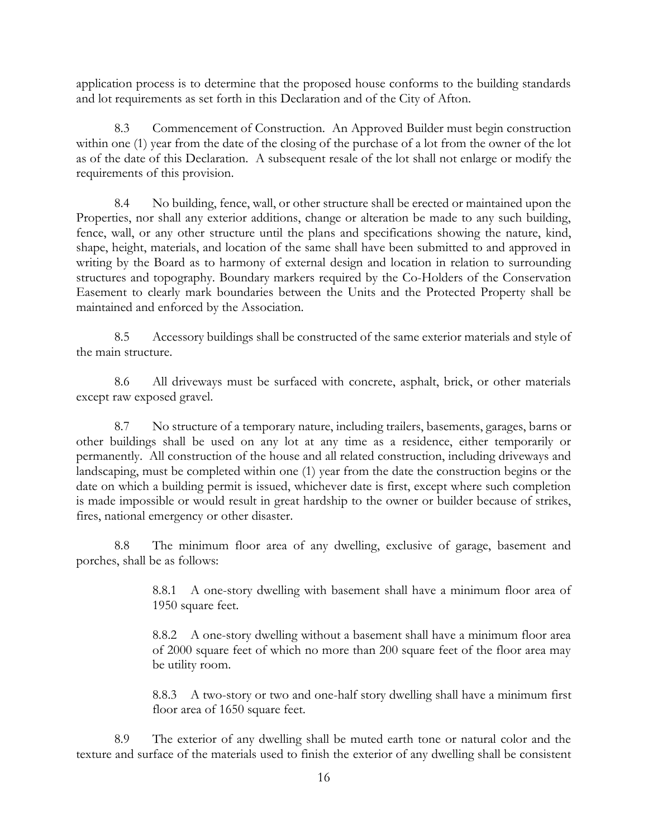application process is to determine that the proposed house conforms to the building standards and lot requirements as set forth in this Declaration and of the City of Afton.

8.3 Commencement of Construction. An Approved Builder must begin construction within one (1) year from the date of the closing of the purchase of a lot from the owner of the lot as of the date of this Declaration. A subsequent resale of the lot shall not enlarge or modify the requirements of this provision.

8.4 No building, fence, wall, or other structure shall be erected or maintained upon the Properties, nor shall any exterior additions, change or alteration be made to any such building, fence, wall, or any other structure until the plans and specifications showing the nature, kind, shape, height, materials, and location of the same shall have been submitted to and approved in writing by the Board as to harmony of external design and location in relation to surrounding structures and topography. Boundary markers required by the Co-Holders of the Conservation Easement to clearly mark boundaries between the Units and the Protected Property shall be maintained and enforced by the Association.

8.5 Accessory buildings shall be constructed of the same exterior materials and style of the main structure.

8.6 All driveways must be surfaced with concrete, asphalt, brick, or other materials except raw exposed gravel.

8.7 No structure of a temporary nature, including trailers, basements, garages, barns or other buildings shall be used on any lot at any time as a residence, either temporarily or permanently. All construction of the house and all related construction, including driveways and landscaping, must be completed within one (1) year from the date the construction begins or the date on which a building permit is issued, whichever date is first, except where such completion is made impossible or would result in great hardship to the owner or builder because of strikes, fires, national emergency or other disaster.

8.8 The minimum floor area of any dwelling, exclusive of garage, basement and porches, shall be as follows:

> 8.8.1 A one-story dwelling with basement shall have a minimum floor area of 1950 square feet.

> 8.8.2 A one-story dwelling without a basement shall have a minimum floor area of 2000 square feet of which no more than 200 square feet of the floor area may be utility room.

> 8.8.3 A two-story or two and one-half story dwelling shall have a minimum first floor area of 1650 square feet.

8.9 The exterior of any dwelling shall be muted earth tone or natural color and the texture and surface of the materials used to finish the exterior of any dwelling shall be consistent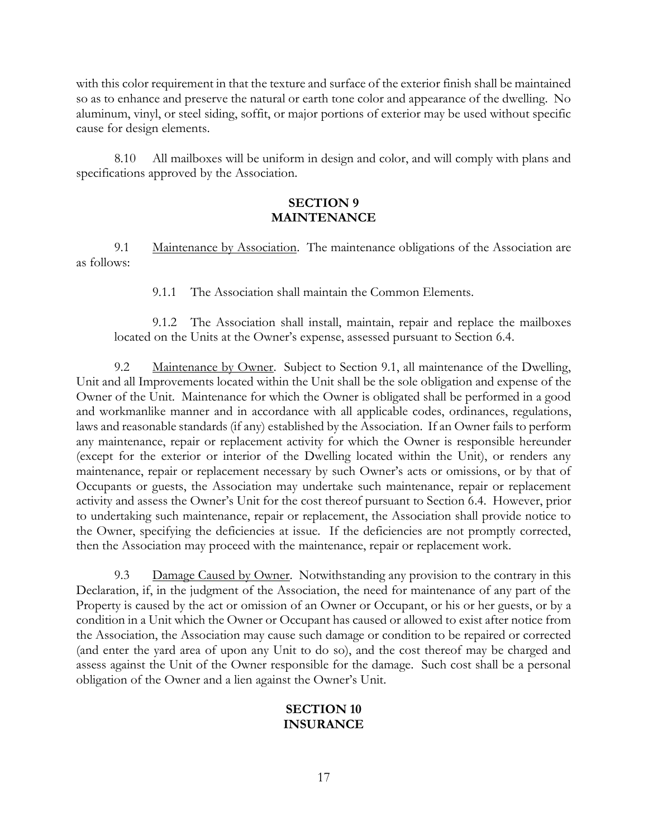with this color requirement in that the texture and surface of the exterior finish shall be maintained so as to enhance and preserve the natural or earth tone color and appearance of the dwelling. No aluminum, vinyl, or steel siding, soffit, or major portions of exterior may be used without specific cause for design elements.

8.10 All mailboxes will be uniform in design and color, and will comply with plans and specifications approved by the Association.

#### **SECTION 9 MAINTENANCE**

9.1 Maintenance by Association. The maintenance obligations of the Association are as follows:

9.1.1 The Association shall maintain the Common Elements.

9.1.2 The Association shall install, maintain, repair and replace the mailboxes located on the Units at the Owner's expense, assessed pursuant to Section 6.4.

9.2 Maintenance by Owner. Subject to Section 9.1, all maintenance of the Dwelling, Unit and all Improvements located within the Unit shall be the sole obligation and expense of the Owner of the Unit. Maintenance for which the Owner is obligated shall be performed in a good and workmanlike manner and in accordance with all applicable codes, ordinances, regulations, laws and reasonable standards (if any) established by the Association. If an Owner fails to perform any maintenance, repair or replacement activity for which the Owner is responsible hereunder (except for the exterior or interior of the Dwelling located within the Unit), or renders any maintenance, repair or replacement necessary by such Owner's acts or omissions, or by that of Occupants or guests, the Association may undertake such maintenance, repair or replacement activity and assess the Owner's Unit for the cost thereof pursuant to Section 6.4. However, prior to undertaking such maintenance, repair or replacement, the Association shall provide notice to the Owner, specifying the deficiencies at issue. If the deficiencies are not promptly corrected, then the Association may proceed with the maintenance, repair or replacement work.

9.3 Damage Caused by Owner. Notwithstanding any provision to the contrary in this Declaration, if, in the judgment of the Association, the need for maintenance of any part of the Property is caused by the act or omission of an Owner or Occupant, or his or her guests, or by a condition in a Unit which the Owner or Occupant has caused or allowed to exist after notice from the Association, the Association may cause such damage or condition to be repaired or corrected (and enter the yard area of upon any Unit to do so), and the cost thereof may be charged and assess against the Unit of the Owner responsible for the damage. Such cost shall be a personal obligation of the Owner and a lien against the Owner's Unit.

## **SECTION 10 INSURANCE**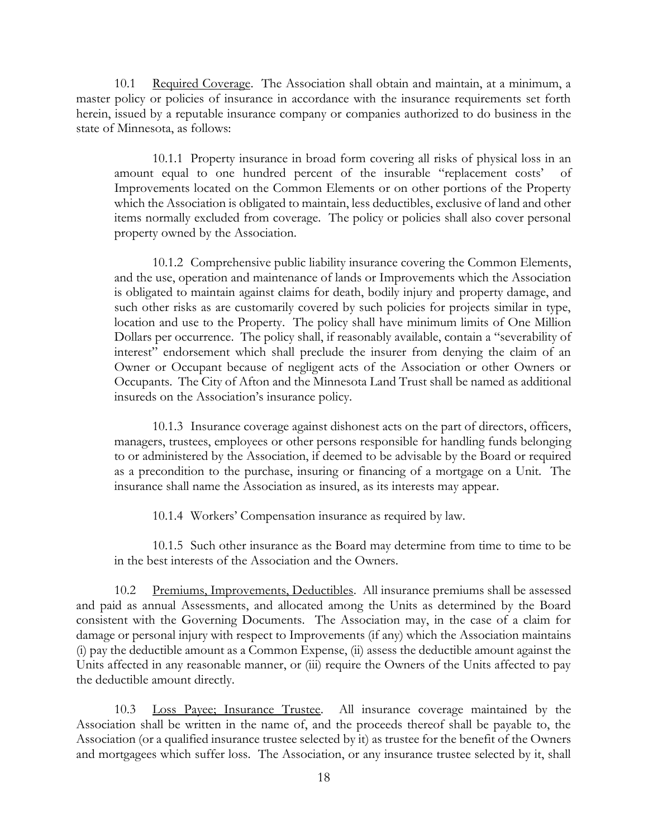10.1 Required Coverage. The Association shall obtain and maintain, at a minimum, a master policy or policies of insurance in accordance with the insurance requirements set forth herein, issued by a reputable insurance company or companies authorized to do business in the state of Minnesota, as follows:

10.1.1 Property insurance in broad form covering all risks of physical loss in an amount equal to one hundred percent of the insurable "replacement costs' of Improvements located on the Common Elements or on other portions of the Property which the Association is obligated to maintain, less deductibles, exclusive of land and other items normally excluded from coverage. The policy or policies shall also cover personal property owned by the Association.

10.1.2 Comprehensive public liability insurance covering the Common Elements, and the use, operation and maintenance of lands or Improvements which the Association is obligated to maintain against claims for death, bodily injury and property damage, and such other risks as are customarily covered by such policies for projects similar in type, location and use to the Property. The policy shall have minimum limits of One Million Dollars per occurrence. The policy shall, if reasonably available, contain a "severability of interest" endorsement which shall preclude the insurer from denying the claim of an Owner or Occupant because of negligent acts of the Association or other Owners or Occupants. The City of Afton and the Minnesota Land Trust shall be named as additional insureds on the Association's insurance policy.

10.1.3 Insurance coverage against dishonest acts on the part of directors, officers, managers, trustees, employees or other persons responsible for handling funds belonging to or administered by the Association, if deemed to be advisable by the Board or required as a precondition to the purchase, insuring or financing of a mortgage on a Unit. The insurance shall name the Association as insured, as its interests may appear.

10.1.4 Workers' Compensation insurance as required by law.

10.1.5 Such other insurance as the Board may determine from time to time to be in the best interests of the Association and the Owners.

10.2 Premiums, Improvements, Deductibles. All insurance premiums shall be assessed and paid as annual Assessments, and allocated among the Units as determined by the Board consistent with the Governing Documents. The Association may, in the case of a claim for damage or personal injury with respect to Improvements (if any) which the Association maintains (i) pay the deductible amount as a Common Expense, (ii) assess the deductible amount against the Units affected in any reasonable manner, or (iii) require the Owners of the Units affected to pay the deductible amount directly.

10.3 Loss Payee; Insurance Trustee. All insurance coverage maintained by the Association shall be written in the name of, and the proceeds thereof shall be payable to, the Association (or a qualified insurance trustee selected by it) as trustee for the benefit of the Owners and mortgagees which suffer loss. The Association, or any insurance trustee selected by it, shall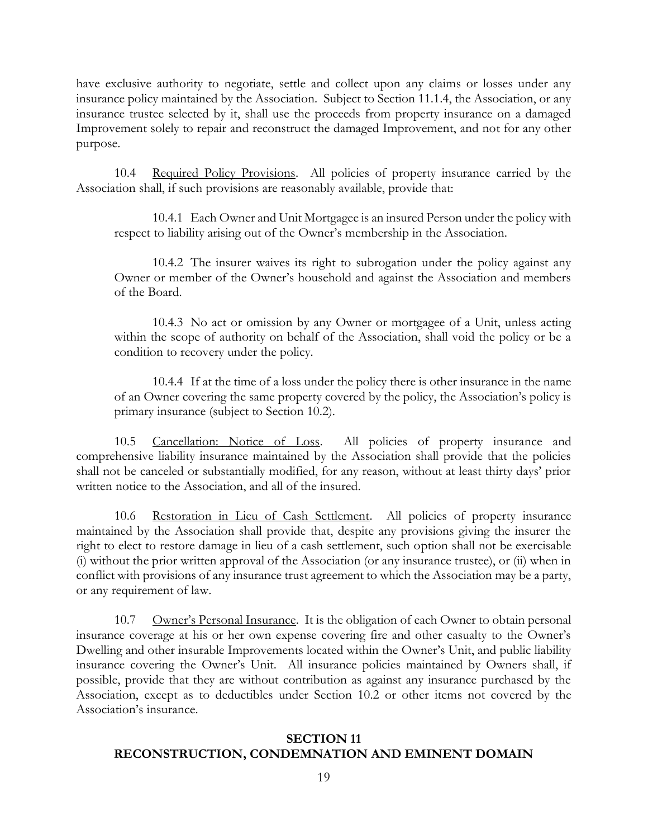have exclusive authority to negotiate, settle and collect upon any claims or losses under any insurance policy maintained by the Association. Subject to Section 11.1.4, the Association, or any insurance trustee selected by it, shall use the proceeds from property insurance on a damaged Improvement solely to repair and reconstruct the damaged Improvement, and not for any other purpose.

10.4 Required Policy Provisions. All policies of property insurance carried by the Association shall, if such provisions are reasonably available, provide that:

10.4.1 Each Owner and Unit Mortgagee is an insured Person under the policy with respect to liability arising out of the Owner's membership in the Association.

10.4.2 The insurer waives its right to subrogation under the policy against any Owner or member of the Owner's household and against the Association and members of the Board.

10.4.3 No act or omission by any Owner or mortgagee of a Unit, unless acting within the scope of authority on behalf of the Association, shall void the policy or be a condition to recovery under the policy.

10.4.4 If at the time of a loss under the policy there is other insurance in the name of an Owner covering the same property covered by the policy, the Association's policy is primary insurance (subject to Section 10.2).

10.5 Cancellation: Notice of Loss. All policies of property insurance and comprehensive liability insurance maintained by the Association shall provide that the policies shall not be canceled or substantially modified, for any reason, without at least thirty days' prior written notice to the Association, and all of the insured.

10.6 Restoration in Lieu of Cash Settlement. All policies of property insurance maintained by the Association shall provide that, despite any provisions giving the insurer the right to elect to restore damage in lieu of a cash settlement, such option shall not be exercisable (i) without the prior written approval of the Association (or any insurance trustee), or (ii) when in conflict with provisions of any insurance trust agreement to which the Association may be a party, or any requirement of law.

10.7 Owner's Personal Insurance. It is the obligation of each Owner to obtain personal insurance coverage at his or her own expense covering fire and other casualty to the Owner's Dwelling and other insurable Improvements located within the Owner's Unit, and public liability insurance covering the Owner's Unit. All insurance policies maintained by Owners shall, if possible, provide that they are without contribution as against any insurance purchased by the Association, except as to deductibles under Section 10.2 or other items not covered by the Association's insurance.

#### **SECTION 11 RECONSTRUCTION, CONDEMNATION AND EMINENT DOMAIN**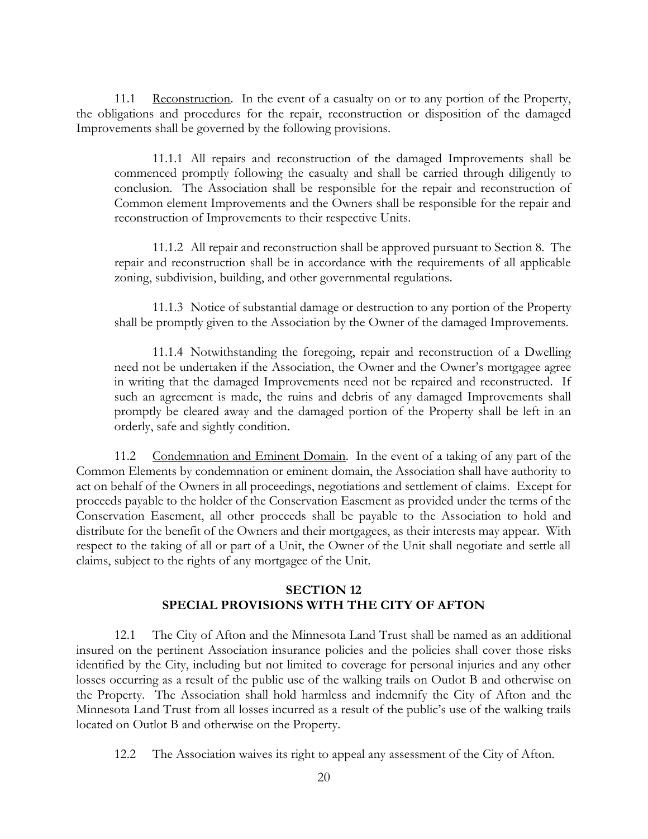11.1 Reconstruction. In the event of a casualty on or to any portion of the Property, the obligations and procedures for the repair, reconstruction or disposition of the damaged Improvements shall be governed by the following provisions.

11.1.1 All repairs and reconstruction of the damaged Improvements shall be commenced promptly following the casualty and shall be carried through diligently to conclusion. The Association shall be responsible for the repair and reconstruction of Common element Improvements and the Owners shall be responsible for the repair and reconstruction of Improvements to their respective Units.

11.1.2 All repair and reconstruction shall be approved pursuant to Section 8. The repair and reconstruction shall be in accordance with the requirements of all applicable zoning, subdivision, building, and other governmental regulations.

11.1.3 Notice of substantial damage or destruction to any portion of the Property shall be promptly given to the Association by the Owner of the damaged Improvements.

11.1.4 Notwithstanding the foregoing, repair and reconstruction of a Dwelling need not be undertaken if the Association, the Owner and the Owner's mortgagee agree in writing that the damaged Improvements need not be repaired and reconstructed. If such an agreement is made, the ruins and debris of any damaged Improvements shall promptly be cleared away and the damaged portion of the Property shall be left in an orderly, safe and sightly condition.

11.2 Condemnation and Eminent Domain. In the event of a taking of any part of the Common Elements by condemnation or eminent domain, the Association shall have authority to act on behalf of the Owners in all proceedings, negotiations and settlement of claims. Except for proceeds payable to the holder of the Conservation Easement as provided under the terms of the Conservation Easement, all other proceeds shall be payable to the Association to hold and distribute for the benefit of the Owners and their mortgagees, as their interests may appear. With respect to the taking of all or part of a Unit, the Owner of the Unit shall negotiate and settle all claims, subject to the rights of any mortgagee of the Unit.

#### **SECTION 12 SPECIAL PROVISIONS WITH THE CITY OF AFTON**

12.1 The City of Afton and the Minnesota Land Trust shall be named as an additional insured on the pertinent Association insurance policies and the policies shall cover those risks identified by the City, including but not limited to coverage for personal injuries and any other losses occurring as a result of the public use of the walking trails on Outlot B and otherwise on the Property. The Association shall hold harmless and indemnify the City of Afton and the Minnesota Land Trust from all losses incurred as a result of the public's use of the walking trails located on Outlot B and otherwise on the Property.

12.2 The Association waives its right to appeal any assessment of the City of Afton.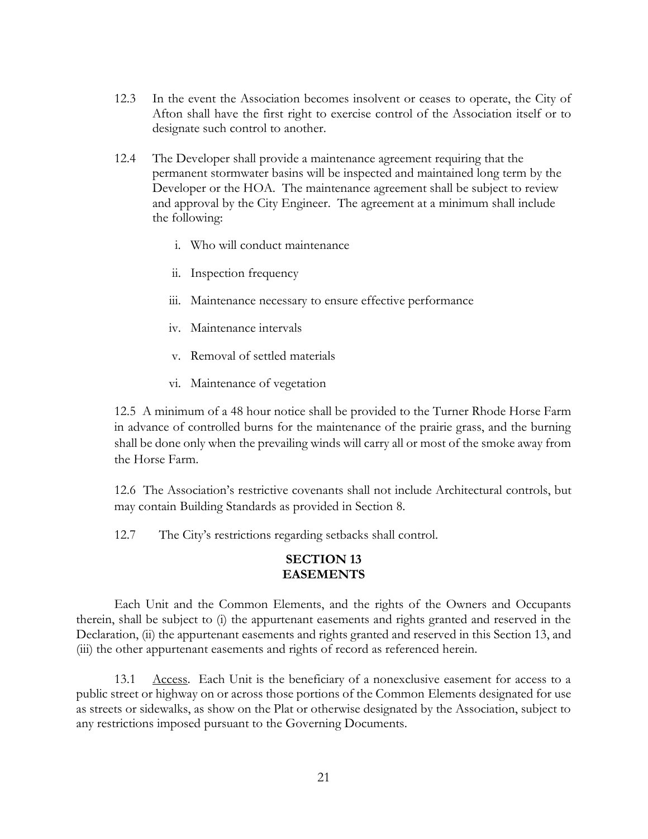- 12.3 In the event the Association becomes insolvent or ceases to operate, the City of Afton shall have the first right to exercise control of the Association itself or to designate such control to another.
- 12.4 The Developer shall provide a maintenance agreement requiring that the permanent stormwater basins will be inspected and maintained long term by the Developer or the HOA. The maintenance agreement shall be subject to review and approval by the City Engineer. The agreement at a minimum shall include the following:
	- i. Who will conduct maintenance
	- ii. Inspection frequency
	- iii. Maintenance necessary to ensure effective performance
	- iv. Maintenance intervals
	- v. Removal of settled materials
	- vi. Maintenance of vegetation

12.5 A minimum of a 48 hour notice shall be provided to the Turner Rhode Horse Farm in advance of controlled burns for the maintenance of the prairie grass, and the burning shall be done only when the prevailing winds will carry all or most of the smoke away from the Horse Farm.

12.6 The Association's restrictive covenants shall not include Architectural controls, but may contain Building Standards as provided in Section 8.

12.7 The City's restrictions regarding setbacks shall control.

#### **SECTION 13 EASEMENTS**

Each Unit and the Common Elements, and the rights of the Owners and Occupants therein, shall be subject to (i) the appurtenant easements and rights granted and reserved in the Declaration, (ii) the appurtenant easements and rights granted and reserved in this Section 13, and (iii) the other appurtenant easements and rights of record as referenced herein.

13.1 Access. Each Unit is the beneficiary of a nonexclusive easement for access to a public street or highway on or across those portions of the Common Elements designated for use as streets or sidewalks, as show on the Plat or otherwise designated by the Association, subject to any restrictions imposed pursuant to the Governing Documents.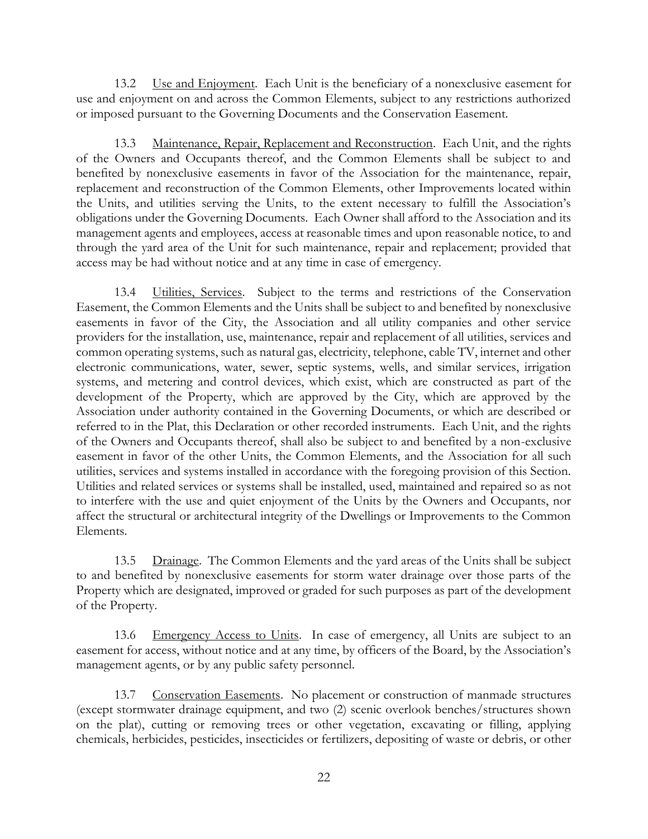13.2 Use and Enjoyment. Each Unit is the beneficiary of a nonexclusive easement for use and enjoyment on and across the Common Elements, subject to any restrictions authorized or imposed pursuant to the Governing Documents and the Conservation Easement.

13.3 Maintenance, Repair, Replacement and Reconstruction. Each Unit, and the rights of the Owners and Occupants thereof, and the Common Elements shall be subject to and benefited by nonexclusive easements in favor of the Association for the maintenance, repair, replacement and reconstruction of the Common Elements, other Improvements located within the Units, and utilities serving the Units, to the extent necessary to fulfill the Association's obligations under the Governing Documents. Each Owner shall afford to the Association and its management agents and employees, access at reasonable times and upon reasonable notice, to and through the yard area of the Unit for such maintenance, repair and replacement; provided that access may be had without notice and at any time in case of emergency.

13.4 Utilities, Services. Subject to the terms and restrictions of the Conservation Easement, the Common Elements and the Units shall be subject to and benefited by nonexclusive easements in favor of the City, the Association and all utility companies and other service providers for the installation, use, maintenance, repair and replacement of all utilities, services and common operating systems, such as natural gas, electricity, telephone, cable TV, internet and other electronic communications, water, sewer, septic systems, wells, and similar services, irrigation systems, and metering and control devices, which exist, which are constructed as part of the development of the Property, which are approved by the City, which are approved by the Association under authority contained in the Governing Documents, or which are described or referred to in the Plat, this Declaration or other recorded instruments. Each Unit, and the rights of the Owners and Occupants thereof, shall also be subject to and benefited by a non-exclusive easement in favor of the other Units, the Common Elements, and the Association for all such utilities, services and systems installed in accordance with the foregoing provision of this Section. Utilities and related services or systems shall be installed, used, maintained and repaired so as not to interfere with the use and quiet enjoyment of the Units by the Owners and Occupants, nor affect the structural or architectural integrity of the Dwellings or Improvements to the Common Elements.

13.5 Drainage. The Common Elements and the yard areas of the Units shall be subject to and benefited by nonexclusive easements for storm water drainage over those parts of the Property which are designated, improved or graded for such purposes as part of the development of the Property.

13.6 Emergency Access to Units. In case of emergency, all Units are subject to an easement for access, without notice and at any time, by officers of the Board, by the Association's management agents, or by any public safety personnel.

13.7 Conservation Easements. No placement or construction of manmade structures (except stormwater drainage equipment, and two (2) scenic overlook benches/structures shown on the plat), cutting or removing trees or other vegetation, excavating or filling, applying chemicals, herbicides, pesticides, insecticides or fertilizers, depositing of waste or debris, or other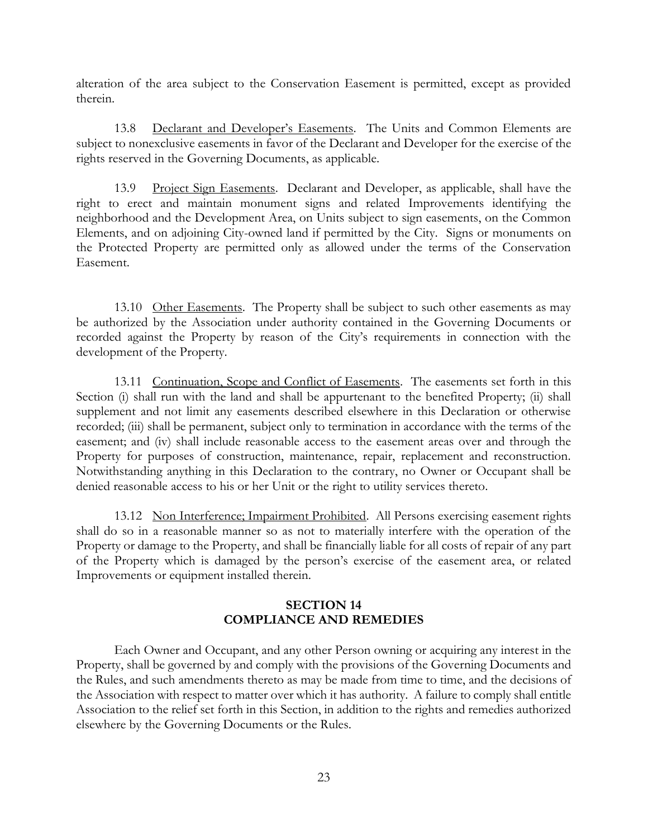alteration of the area subject to the Conservation Easement is permitted, except as provided therein.

13.8 Declarant and Developer's Easements. The Units and Common Elements are subject to nonexclusive easements in favor of the Declarant and Developer for the exercise of the rights reserved in the Governing Documents, as applicable.

13.9 Project Sign Easements. Declarant and Developer, as applicable, shall have the right to erect and maintain monument signs and related Improvements identifying the neighborhood and the Development Area, on Units subject to sign easements, on the Common Elements, and on adjoining City-owned land if permitted by the City. Signs or monuments on the Protected Property are permitted only as allowed under the terms of the Conservation Easement.

13.10 Other Easements. The Property shall be subject to such other easements as may be authorized by the Association under authority contained in the Governing Documents or recorded against the Property by reason of the City's requirements in connection with the development of the Property.

13.11 Continuation, Scope and Conflict of Easements. The easements set forth in this Section (i) shall run with the land and shall be appurtenant to the benefited Property; (ii) shall supplement and not limit any easements described elsewhere in this Declaration or otherwise recorded; (iii) shall be permanent, subject only to termination in accordance with the terms of the easement; and (iv) shall include reasonable access to the easement areas over and through the Property for purposes of construction, maintenance, repair, replacement and reconstruction. Notwithstanding anything in this Declaration to the contrary, no Owner or Occupant shall be denied reasonable access to his or her Unit or the right to utility services thereto.

13.12 Non Interference; Impairment Prohibited. All Persons exercising easement rights shall do so in a reasonable manner so as not to materially interfere with the operation of the Property or damage to the Property, and shall be financially liable for all costs of repair of any part of the Property which is damaged by the person's exercise of the easement area, or related Improvements or equipment installed therein.

## **SECTION 14 COMPLIANCE AND REMEDIES**

Each Owner and Occupant, and any other Person owning or acquiring any interest in the Property, shall be governed by and comply with the provisions of the Governing Documents and the Rules, and such amendments thereto as may be made from time to time, and the decisions of the Association with respect to matter over which it has authority. A failure to comply shall entitle Association to the relief set forth in this Section, in addition to the rights and remedies authorized elsewhere by the Governing Documents or the Rules.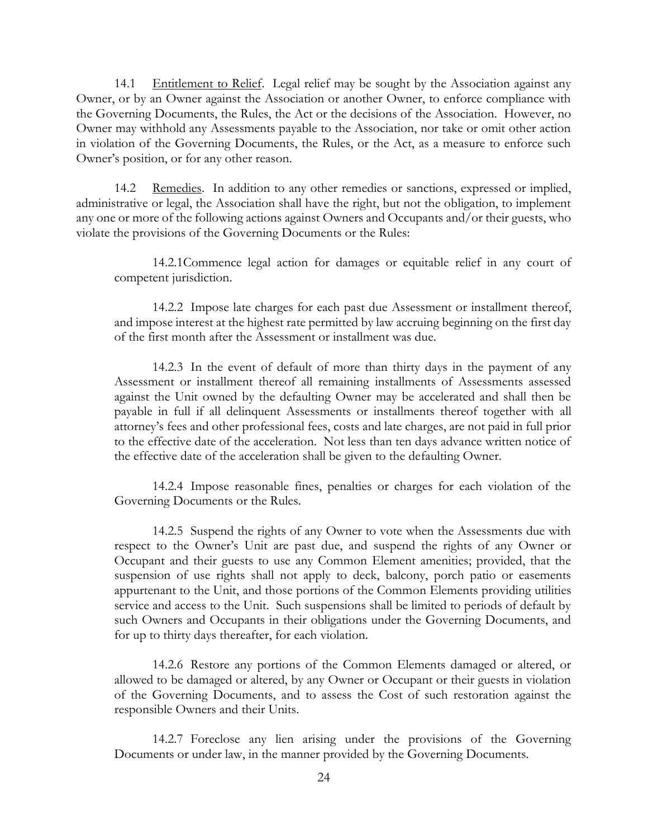14.1 Entitlement to Relief. Legal relief may be sought by the Association against any Owner, or by an Owner against the Association or another Owner, to enforce compliance with the Governing Documents, the Rules, the Act or the decisions of the Association. However, no Owner may withhold any Assessments payable to the Association, nor take or omit other action in violation of the Governing Documents, the Rules, or the Act, as a measure to enforce such Owner's position, or for any other reason.

14.2 Remedies. In addition to any other remedies or sanctions, expressed or implied, administrative or legal, the Association shall have the right, but not the obligation, to implement any one or more of the following actions against Owners and Occupants and/or their guests, who violate the provisions of the Governing Documents or the Rules:

14.2.1Commence legal action for damages or equitable relief in any court of competent jurisdiction.

14.2.2 Impose late charges for each past due Assessment or installment thereof, and impose interest at the highest rate permitted by law accruing beginning on the first day of the first month after the Assessment or installment was due.

14.2.3 In the event of default of more than thirty days in the payment of any Assessment or installment thereof all remaining installments of Assessments assessed against the Unit owned by the defaulting Owner may be accelerated and shall then be payable in full if all delinquent Assessments or installments thereof together with all attorney's fees and other professional fees, costs and late charges, are not paid in full prior to the effective date of the acceleration. Not less than ten days advance written notice of the effective date of the acceleration shall be given to the defaulting Owner.

14.2.4 Impose reasonable fines, penalties or charges for each violation of the Governing Documents or the Rules.

14.2.5 Suspend the rights of any Owner to vote when the Assessments due with respect to the Owner's Unit are past due, and suspend the rights of any Owner or Occupant and their guests to use any Common Element amenities; provided, that the suspension of use rights shall not apply to deck, balcony, porch patio or easements appurtenant to the Unit, and those portions of the Common Elements providing utilities service and access to the Unit. Such suspensions shall be limited to periods of default by such Owners and Occupants in their obligations under the Governing Documents, and for up to thirty days thereafter, for each violation.

14.2.6 Restore any portions of the Common Elements damaged or altered, or allowed to be damaged or altered, by any Owner or Occupant or their guests in violation of the Governing Documents, and to assess the Cost of such restoration against the responsible Owners and their Units.

14.2.7 Foreclose any lien arising under the provisions of the Governing Documents or under law, in the manner provided by the Governing Documents.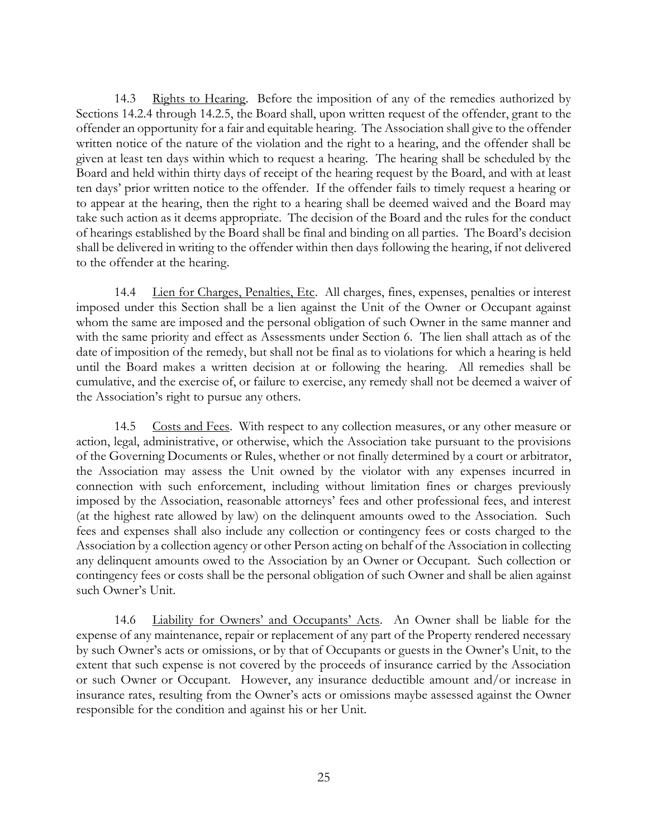14.3 Rights to Hearing. Before the imposition of any of the remedies authorized by Sections 14.2.4 through 14.2.5, the Board shall, upon written request of the offender, grant to the offender an opportunity for a fair and equitable hearing. The Association shall give to the offender written notice of the nature of the violation and the right to a hearing, and the offender shall be given at least ten days within which to request a hearing. The hearing shall be scheduled by the Board and held within thirty days of receipt of the hearing request by the Board, and with at least ten days' prior written notice to the offender. If the offender fails to timely request a hearing or to appear at the hearing, then the right to a hearing shall be deemed waived and the Board may take such action as it deems appropriate. The decision of the Board and the rules for the conduct of hearings established by the Board shall be final and binding on all parties. The Board's decision shall be delivered in writing to the offender within then days following the hearing, if not delivered to the offender at the hearing.

14.4 Lien for Charges, Penalties, Etc. All charges, fines, expenses, penalties or interest imposed under this Section shall be a lien against the Unit of the Owner or Occupant against whom the same are imposed and the personal obligation of such Owner in the same manner and with the same priority and effect as Assessments under Section 6. The lien shall attach as of the date of imposition of the remedy, but shall not be final as to violations for which a hearing is held until the Board makes a written decision at or following the hearing. All remedies shall be cumulative, and the exercise of, or failure to exercise, any remedy shall not be deemed a waiver of the Association's right to pursue any others.

14.5 Costs and Fees. With respect to any collection measures, or any other measure or action, legal, administrative, or otherwise, which the Association take pursuant to the provisions of the Governing Documents or Rules, whether or not finally determined by a court or arbitrator, the Association may assess the Unit owned by the violator with any expenses incurred in connection with such enforcement, including without limitation fines or charges previously imposed by the Association, reasonable attorneys' fees and other professional fees, and interest (at the highest rate allowed by law) on the delinquent amounts owed to the Association. Such fees and expenses shall also include any collection or contingency fees or costs charged to the Association by a collection agency or other Person acting on behalf of the Association in collecting any delinquent amounts owed to the Association by an Owner or Occupant. Such collection or contingency fees or costs shall be the personal obligation of such Owner and shall be alien against such Owner's Unit.

14.6 Liability for Owners' and Occupants' Acts. An Owner shall be liable for the expense of any maintenance, repair or replacement of any part of the Property rendered necessary by such Owner's acts or omissions, or by that of Occupants or guests in the Owner's Unit, to the extent that such expense is not covered by the proceeds of insurance carried by the Association or such Owner or Occupant. However, any insurance deductible amount and/or increase in insurance rates, resulting from the Owner's acts or omissions maybe assessed against the Owner responsible for the condition and against his or her Unit.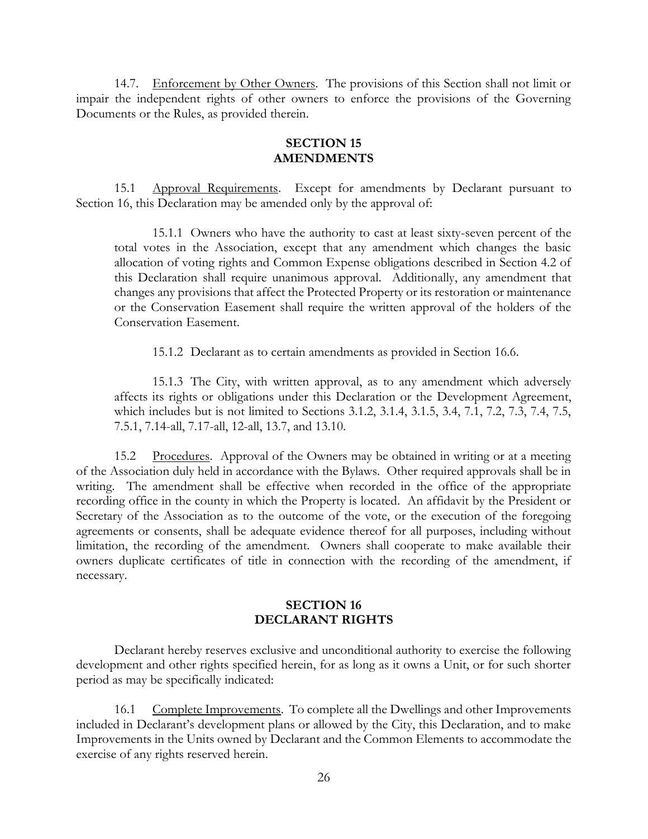14.7. Enforcement by Other Owners. The provisions of this Section shall not limit or impair the independent rights of other owners to enforce the provisions of the Governing Documents or the Rules, as provided therein.

#### **SECTION 15 AMENDMENTS**

15.1 Approval Requirements. Except for amendments by Declarant pursuant to Section 16, this Declaration may be amended only by the approval of:

15.1.1 Owners who have the authority to cast at least sixty-seven percent of the total votes in the Association, except that any amendment which changes the basic allocation of voting rights and Common Expense obligations described in Section 4.2 of this Declaration shall require unanimous approval. Additionally, any amendment that changes any provisions that affect the Protected Property or its restoration or maintenance or the Conservation Easement shall require the written approval of the holders of the Conservation Easement.

15.1.2 Declarant as to certain amendments as provided in Section 16.6.

15.1.3 The City, with written approval, as to any amendment which adversely affects its rights or obligations under this Declaration or the Development Agreement, which includes but is not limited to Sections 3.1.2, 3.1.4, 3.1.5, 3.4, 7.1, 7.2, 7.3, 7.4, 7.5, 7.5.1, 7.14-all, 7.17-all, 12-all, 13.7, and 13.10.

15.2 Procedures. Approval of the Owners may be obtained in writing or at a meeting of the Association duly held in accordance with the Bylaws. Other required approvals shall be in writing. The amendment shall be effective when recorded in the office of the appropriate recording office in the county in which the Property is located. An affidavit by the President or Secretary of the Association as to the outcome of the vote, or the execution of the foregoing agreements or consents, shall be adequate evidence thereof for all purposes, including without limitation, the recording of the amendment. Owners shall cooperate to make available their owners duplicate certificates of title in connection with the recording of the amendment, if necessary.

## **SECTION 16 DECLARANT RIGHTS**

Declarant hereby reserves exclusive and unconditional authority to exercise the following development and other rights specified herein, for as long as it owns a Unit, or for such shorter period as may be specifically indicated:

16.1 Complete Improvements. To complete all the Dwellings and other Improvements included in Declarant's development plans or allowed by the City, this Declaration, and to make Improvements in the Units owned by Declarant and the Common Elements to accommodate the exercise of any rights reserved herein.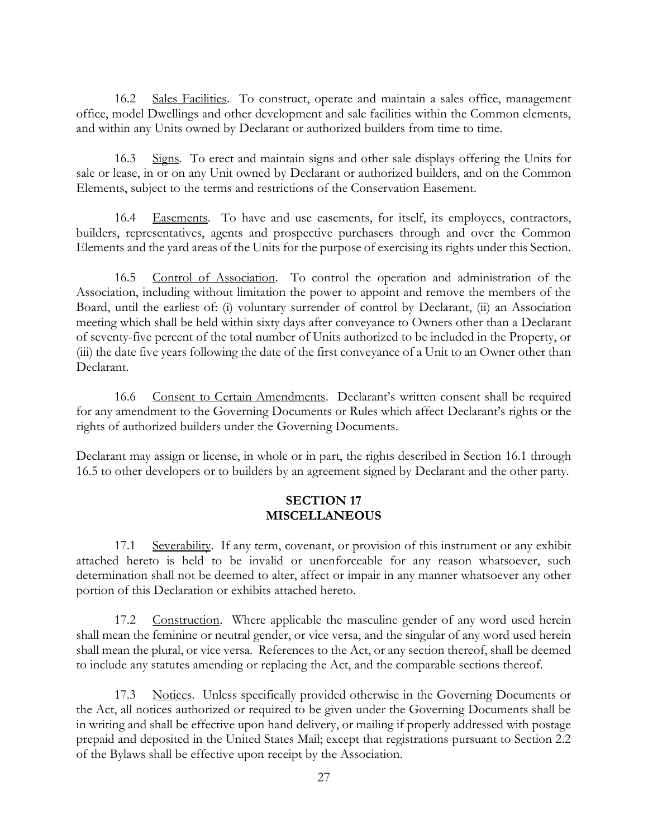16.2 Sales Facilities. To construct, operate and maintain a sales office, management office, model Dwellings and other development and sale facilities within the Common elements, and within any Units owned by Declarant or authorized builders from time to time.

16.3 Signs. To erect and maintain signs and other sale displays offering the Units for sale or lease, in or on any Unit owned by Declarant or authorized builders, and on the Common Elements, subject to the terms and restrictions of the Conservation Easement.

16.4 Easements. To have and use easements, for itself, its employees, contractors, builders, representatives, agents and prospective purchasers through and over the Common Elements and the yard areas of the Units for the purpose of exercising its rights under this Section.

16.5 Control of Association. To control the operation and administration of the Association, including without limitation the power to appoint and remove the members of the Board, until the earliest of: (i) voluntary surrender of control by Declarant, (ii) an Association meeting which shall be held within sixty days after conveyance to Owners other than a Declarant of seventy-five percent of the total number of Units authorized to be included in the Property, or (iii) the date five years following the date of the first conveyance of a Unit to an Owner other than Declarant.

16.6 Consent to Certain Amendments. Declarant's written consent shall be required for any amendment to the Governing Documents or Rules which affect Declarant's rights or the rights of authorized builders under the Governing Documents.

Declarant may assign or license, in whole or in part, the rights described in Section 16.1 through 16.5 to other developers or to builders by an agreement signed by Declarant and the other party.

#### **SECTION 17 MISCELLANEOUS**

17.1 Severability. If any term, covenant, or provision of this instrument or any exhibit attached hereto is held to be invalid or unenforceable for any reason whatsoever, such determination shall not be deemed to alter, affect or impair in any manner whatsoever any other portion of this Declaration or exhibits attached hereto.

17.2 Construction. Where applicable the masculine gender of any word used herein shall mean the feminine or neutral gender, or vice versa, and the singular of any word used herein shall mean the plural, or vice versa. References to the Act, or any section thereof, shall be deemed to include any statutes amending or replacing the Act, and the comparable sections thereof.

17.3 Notices. Unless specifically provided otherwise in the Governing Documents or the Act, all notices authorized or required to be given under the Governing Documents shall be in writing and shall be effective upon hand delivery, or mailing if properly addressed with postage prepaid and deposited in the United States Mail; except that registrations pursuant to Section 2.2 of the Bylaws shall be effective upon receipt by the Association.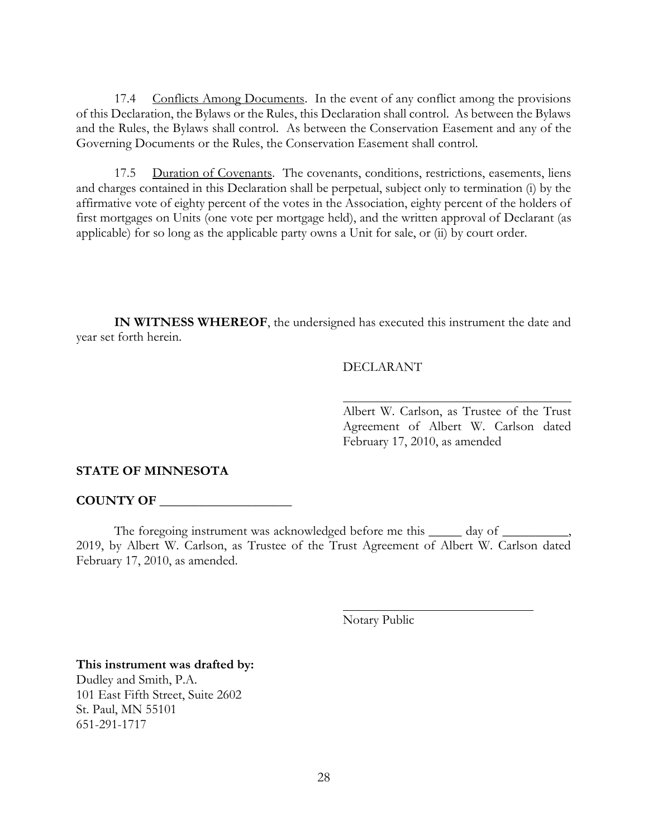17.4 Conflicts Among Documents. In the event of any conflict among the provisions of this Declaration, the Bylaws or the Rules, this Declaration shall control. As between the Bylaws and the Rules, the Bylaws shall control. As between the Conservation Easement and any of the Governing Documents or the Rules, the Conservation Easement shall control.

17.5 Duration of Covenants. The covenants, conditions, restrictions, easements, liens and charges contained in this Declaration shall be perpetual, subject only to termination (i) by the affirmative vote of eighty percent of the votes in the Association, eighty percent of the holders of first mortgages on Units (one vote per mortgage held), and the written approval of Declarant (as applicable) for so long as the applicable party owns a Unit for sale, or (ii) by court order.

**IN WITNESS WHEREOF**, the undersigned has executed this instrument the date and year set forth herein.

#### DECLARANT

Albert W. Carlson, as Trustee of the Trust Agreement of Albert W. Carlson dated February 17, 2010, as amended

#### **STATE OF MINNESOTA**

#### **COUNTY OF \_\_\_\_\_\_\_\_\_\_\_\_\_\_\_\_\_\_\_\_**

The foregoing instrument was acknowledged before me this \_\_\_\_\_\_ day of \_\_\_\_\_\_ 2019, by Albert W. Carlson, as Trustee of the Trust Agreement of Albert W. Carlson dated February 17, 2010, as amended.

Notary Public

**This instrument was drafted by:** Dudley and Smith, P.A. 101 East Fifth Street, Suite 2602 St. Paul, MN 55101 651-291-1717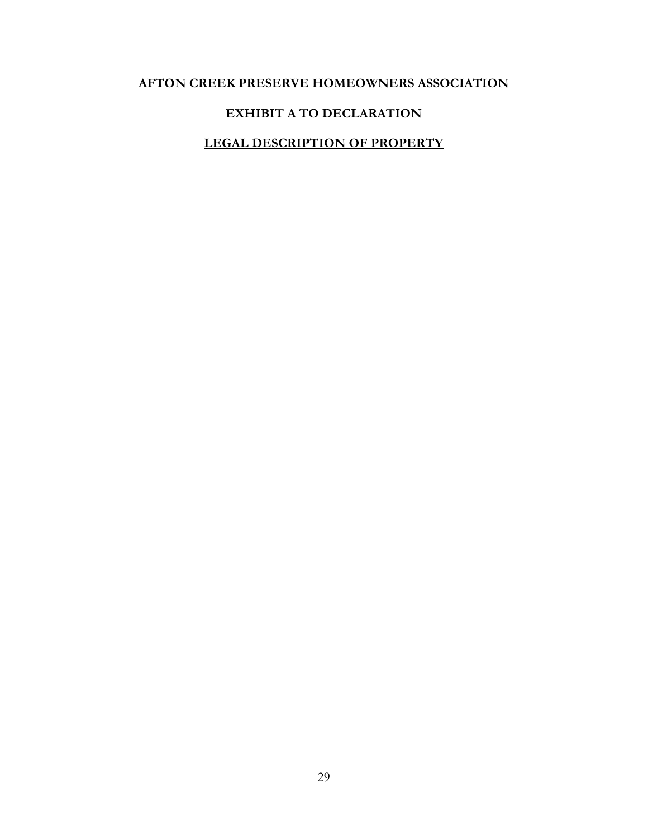# **AFTON CREEK PRESERVE HOMEOWNERS ASSOCIATION**

# **EXHIBIT A TO DECLARATION**

# **LEGAL DESCRIPTION OF PROPERTY**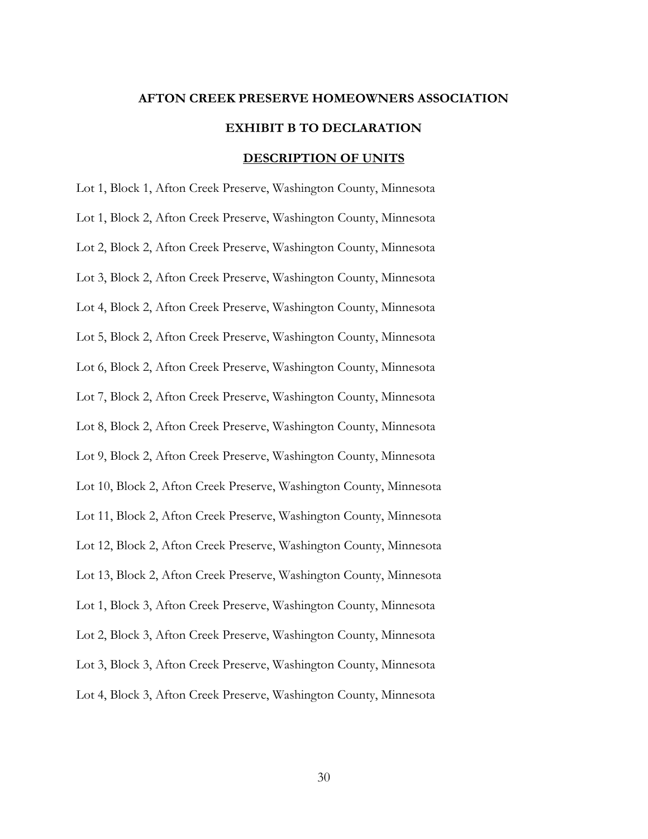# **AFTON CREEK PRESERVE HOMEOWNERS ASSOCIATION EXHIBIT B TO DECLARATION DESCRIPTION OF UNITS**

Lot 1, Block 1, Afton Creek Preserve, Washington County, Minnesota Lot 1, Block 2, Afton Creek Preserve, Washington County, Minnesota Lot 2, Block 2, Afton Creek Preserve, Washington County, Minnesota Lot 3, Block 2, Afton Creek Preserve, Washington County, Minnesota Lot 4, Block 2, Afton Creek Preserve, Washington County, Minnesota Lot 5, Block 2, Afton Creek Preserve, Washington County, Minnesota Lot 6, Block 2, Afton Creek Preserve, Washington County, Minnesota Lot 7, Block 2, Afton Creek Preserve, Washington County, Minnesota Lot 8, Block 2, Afton Creek Preserve, Washington County, Minnesota Lot 9, Block 2, Afton Creek Preserve, Washington County, Minnesota Lot 10, Block 2, Afton Creek Preserve, Washington County, Minnesota Lot 11, Block 2, Afton Creek Preserve, Washington County, Minnesota Lot 12, Block 2, Afton Creek Preserve, Washington County, Minnesota Lot 13, Block 2, Afton Creek Preserve, Washington County, Minnesota Lot 1, Block 3, Afton Creek Preserve, Washington County, Minnesota Lot 2, Block 3, Afton Creek Preserve, Washington County, Minnesota Lot 3, Block 3, Afton Creek Preserve, Washington County, Minnesota Lot 4, Block 3, Afton Creek Preserve, Washington County, Minnesota